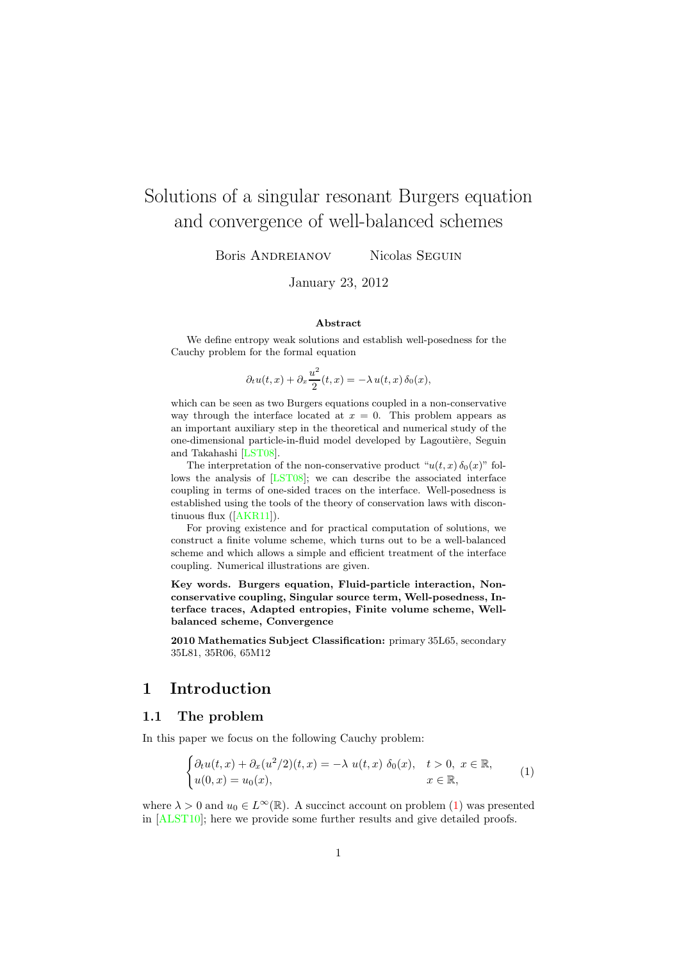# Solutions of a singular resonant Burgers equation and convergence of well-balanced schemes

Boris ANDREIANOV Nicolas SEGUIN

January 23, 2012

#### Abstract

We define entropy weak solutions and establish well-posedness for the Cauchy problem for the formal equation

$$
\partial_t u(t,x) + \partial_x \frac{u^2}{2}(t,x) = -\lambda u(t,x) \, \delta_0(x),
$$

which can be seen as two Burgers equations coupled in a non-conservative way through the interface located at  $x = 0$ . This problem appears as an important auxiliary step in the theoretical and numerical study of the one-dimensional particle-in-fluid model developed by Lagoutière, Seguin and Takahashi [\[LST08\]](#page-28-0).

The interpretation of the non-conservative product " $u(t, x) \delta_0(x)$ " follows the analysis of [\[LST08\]](#page-28-0); we can describe the associated interface coupling in terms of one-sided traces on the interface. Well-posedness is established using the tools of the theory of conservation laws with discontinuous flux ([\[AKR11\]](#page-26-0)).

For proving existence and for practical computation of solutions, we construct a finite volume scheme, which turns out to be a well-balanced scheme and which allows a simple and efficient treatment of the interface coupling. Numerical illustrations are given.

Key words. Burgers equation, Fluid-particle interaction, Nonconservative coupling, Singular source term, Well-posedness, Interface traces, Adapted entropies, Finite volume scheme, Wellbalanced scheme, Convergence

2010 Mathematics Subject Classification: primary 35L65, secondary 35L81, 35R06, 65M12

### 1 Introduction

#### 1.1 The problem

In this paper we focus on the following Cauchy problem:

<span id="page-0-0"></span>
$$
\begin{cases} \partial_t u(t,x) + \partial_x (u^2/2)(t,x) = -\lambda u(t,x) \ \delta_0(x), \quad t > 0, \ x \in \mathbb{R}, \\ u(0,x) = u_0(x), \qquad \qquad x \in \mathbb{R}, \end{cases}
$$
 (1)

where  $\lambda > 0$  and  $u_0 \in L^{\infty}(\mathbb{R})$ . A succinct account on problem [\(1\)](#page-0-0) was presented in [\[ALST10\]](#page-26-1); here we provide some further results and give detailed proofs.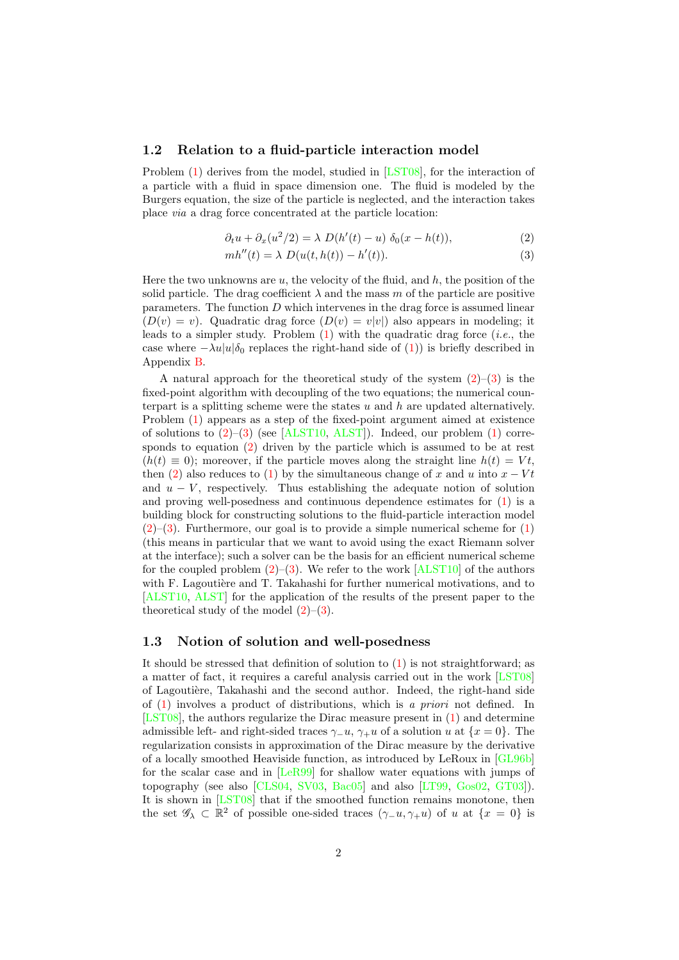#### 1.2 Relation to a fluid-particle interaction model

Problem [\(1\)](#page-0-0) derives from the model, studied in [\[LST08\]](#page-28-0), for the interaction of a particle with a fluid in space dimension one. The fluid is modeled by the Burgers equation, the size of the particle is neglected, and the interaction takes place via a drag force concentrated at the particle location:

$$
\partial_t u + \partial_x (u^2/2) = \lambda D(h'(t) - u) \delta_0 (x - h(t)), \qquad (2)
$$

<span id="page-1-1"></span><span id="page-1-0"></span>
$$
mh''(t) = \lambda D(u(t, h(t)) - h'(t)).
$$
\n(3)

Here the two unknowns are  $u$ , the velocity of the fluid, and  $h$ , the position of the solid particle. The drag coefficient  $\lambda$  and the mass m of the particle are positive parameters. The function  $D$  which intervenes in the drag force is assumed linear  $(D(v) = v)$ . Quadratic drag force  $(D(v) = v|v|)$  also appears in modeling; it leads to a simpler study. Problem  $(1)$  with the quadratic drag force *(i.e.*, the case where  $-\lambda u|u|\delta_0$  replaces the right-hand side of [\(1\)](#page-0-0)) is briefly described in Appendix [B.](#page-24-0)

A natural approach for the theoretical study of the system  $(2)$ – $(3)$  is the fixed-point algorithm with decoupling of the two equations; the numerical counterpart is a splitting scheme were the states  $u$  and  $h$  are updated alternatively. Problem [\(1\)](#page-0-0) appears as a step of the fixed-point argument aimed at existence of solutions to  $(2)$ – $(3)$  (see [\[ALST10,](#page-26-1) [ALST\]](#page-26-2)). Indeed, our problem  $(1)$  corresponds to equation [\(2\)](#page-1-0) driven by the particle which is assumed to be at rest  $(h(t) \equiv 0)$ ; moreover, if the particle moves along the straight line  $h(t) = Vt$ . then [\(2\)](#page-1-0) also reduces to [\(1\)](#page-0-0) by the simultaneous change of x and u into  $x - Vt$ and  $u - V$ , respectively. Thus establishing the adequate notion of solution and proving well-posedness and continuous dependence estimates for [\(1\)](#page-0-0) is a building block for constructing solutions to the fluid-particle interaction model  $(2)$ – $(3)$ . Furthermore, our goal is to provide a simple numerical scheme for  $(1)$ (this means in particular that we want to avoid using the exact Riemann solver at the interface); such a solver can be the basis for an efficient numerical scheme for the coupled problem  $(2)$ – $(3)$ . We refer to the work [\[ALST10\]](#page-26-1) of the authors with F. Lagoutière and T. Takahashi for further numerical motivations, and to [\[ALST10,](#page-26-1) [ALST\]](#page-26-2) for the application of the results of the present paper to the theoretical study of the model  $(2)$ – $(3)$ .

#### 1.3 Notion of solution and well-posedness

It should be stressed that definition of solution to [\(1\)](#page-0-0) is not straightforward; as a matter of fact, it requires a careful analysis carried out in the work [\[LST08\]](#page-28-0) of Lagoutière, Takahashi and the second author. Indeed, the right-hand side of [\(1\)](#page-0-0) involves a product of distributions, which is a priori not defined. In [\[LST08\]](#page-28-0), the authors regularize the Dirac measure present in [\(1\)](#page-0-0) and determine admissible left- and right-sided traces  $\gamma_-\overline{u}$ ,  $\gamma_+\overline{u}$  of a solution  $\overline{u}$  at  $\overline{\{x=0\}}$ . The regularization consists in approximation of the Dirac measure by the derivative of a locally smoothed Heaviside function, as introduced by LeRoux in [\[GL96b\]](#page-27-0) for the scalar case and in [\[LeR99\]](#page-28-1) for shallow water equations with jumps of topography (see also [\[CLS04,](#page-27-1) [SV03,](#page-28-2) [Bac05\]](#page-27-2) and also [\[LT99,](#page-28-3) [Gos02,](#page-28-4) [GT03\]](#page-28-5)). It is shown in [\[LST08\]](#page-28-0) that if the smoothed function remains monotone, then the set  $\mathscr{G}_\lambda \subset \mathbb{R}^2$  of possible one-sided traces  $(\gamma u, \gamma u)$  of u at  $\{x = 0\}$  is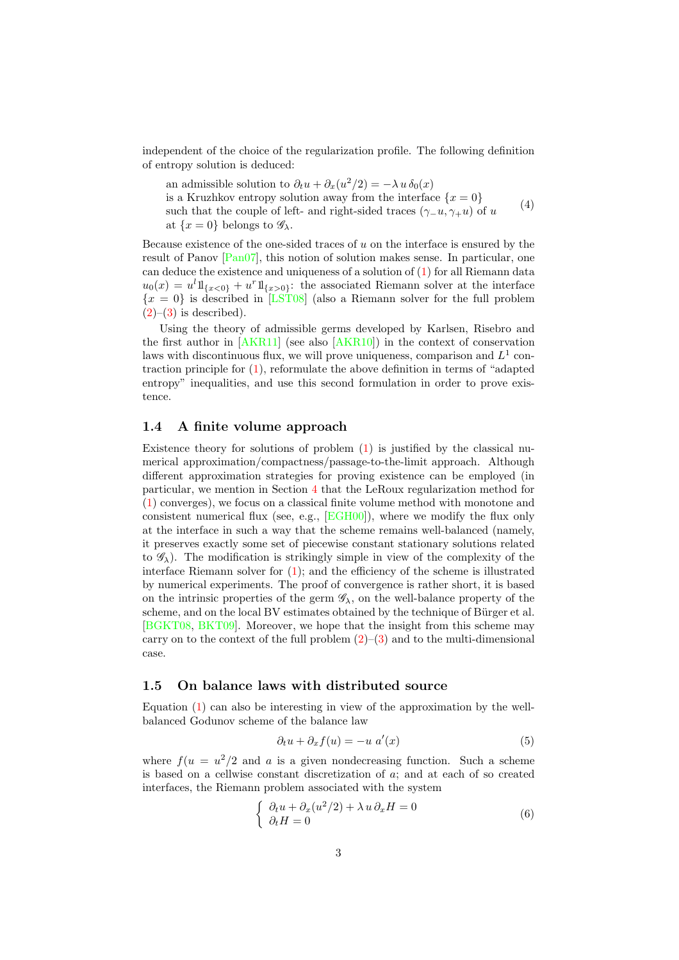independent of the choice of the regularization profile. The following definition of entropy solution is deduced:

<span id="page-2-2"></span>an admissible solution to  $\partial_t u + \partial_x (u^2/2) = -\lambda u \, \delta_0(x)$ is a Kruzhkov entropy solution away from the interface  $\{x=0\}$ such that the couple of left- and right-sided traces  $(γ_u, γ_+u)$  of u at  $\{x=0\}$  belongs to  $\mathscr{G}_\lambda$ . (4)

Because existence of the one-sided traces of  $u$  on the interface is ensured by the result of Panov [\[Pan07\]](#page-28-6), this notion of solution makes sense. In particular, one can deduce the existence and uniqueness of a solution of [\(1\)](#page-0-0) for all Riemann data  $u_0(x) = u^l 1\!\mathrm{l}_{\{x<0\}} + u^r 1\!\mathrm{l}_{\{x>0\}}$ : the associated Riemann solver at the interface  ${x = 0}$  is described in [\[LST08\]](#page-28-0) (also a Riemann solver for the full problem  $(2)-(3)$  $(2)-(3)$  $(2)-(3)$  is described).

Using the theory of admissible germs developed by Karlsen, Risebro and the first author in  $[AKR11]$  (see also  $[AKR10]$ ) in the context of conservation laws with discontinuous flux, we will prove uniqueness, comparison and  $L^1$  contraction principle for  $(1)$ , reformulate the above definition in terms of "adapted" entropy" inequalities, and use this second formulation in order to prove existence.

#### 1.4 A finite volume approach

Existence theory for solutions of problem  $(1)$  is justified by the classical numerical approximation/compactness/passage-to-the-limit approach. Although different approximation strategies for proving existence can be employed (in particular, we mention in Section [4](#page-20-0) that the LeRoux regularization method for [\(1\)](#page-0-0) converges), we focus on a classical finite volume method with monotone and consistent numerical flux (see, e.g., [\[EGH00\]](#page-27-3)), where we modify the flux only at the interface in such a way that the scheme remains well-balanced (namely, it preserves exactly some set of piecewise constant stationary solutions related to  $\mathscr{G}_{\lambda}$ ). The modification is strikingly simple in view of the complexity of the interface Riemann solver for [\(1\)](#page-0-0); and the efficiency of the scheme is illustrated by numerical experiments. The proof of convergence is rather short, it is based on the intrinsic properties of the germ  $\mathscr{G}_{\lambda}$ , on the well-balance property of the scheme, and on the local BV estimates obtained by the technique of Bürger et al. [\[BGKT08,](#page-27-4) [BKT09\]](#page-27-5). Moreover, we hope that the insight from this scheme may carry on to the context of the full problem  $(2)$ – $(3)$  and to the multi-dimensional case.

#### 1.5 On balance laws with distributed source

Equation [\(1\)](#page-0-0) can also be interesting in view of the approximation by the wellbalanced Godunov scheme of the balance law

<span id="page-2-1"></span>
$$
\partial_t u + \partial_x f(u) = -u \ a'(x) \tag{5}
$$

where  $f(u = u^2/2$  and a is a given nondecreasing function. Such a scheme is based on a cellwise constant discretization of a; and at each of so created interfaces, the Riemann problem associated with the system

<span id="page-2-0"></span>
$$
\begin{cases}\n\partial_t u + \partial_x (u^2/2) + \lambda u \, \partial_x H = 0 \\
\partial_t H = 0\n\end{cases} \tag{6}
$$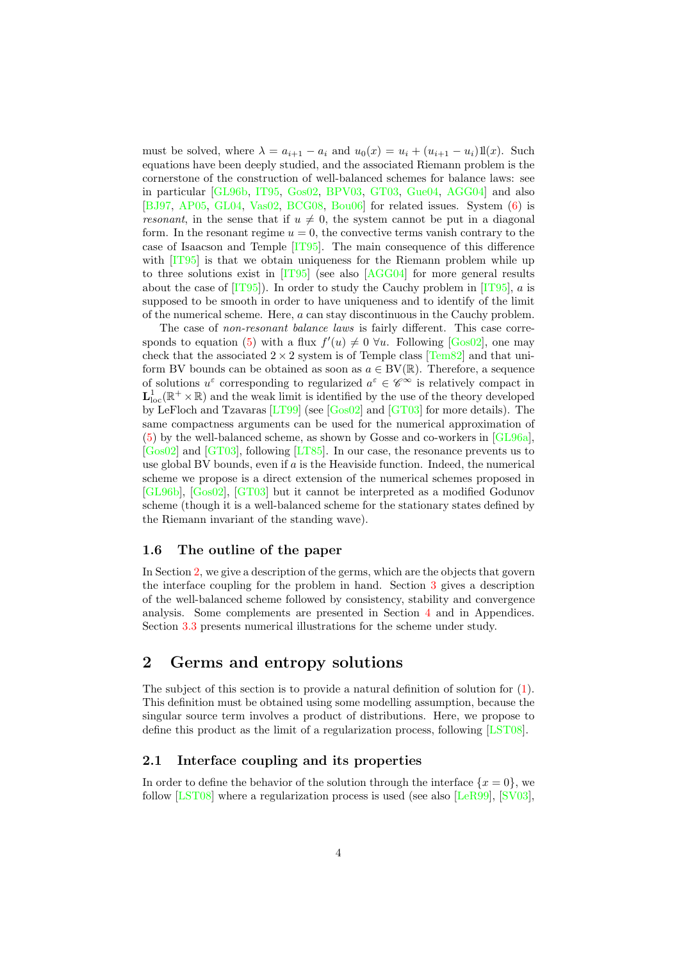must be solved, where  $\lambda = a_{i+1} - a_i$  and  $u_0(x) = u_i + (u_{i+1} - u_i)1(x)$ . Such equations have been deeply studied, and the associated Riemann problem is the cornerstone of the construction of well-balanced schemes for balance laws: see in particular [\[GL96b,](#page-27-0) [IT95,](#page-28-7) [Gos02,](#page-28-4) [BPV03,](#page-27-6) [GT03,](#page-28-5) [Gue04,](#page-28-8) [AGG04\]](#page-26-4) and also [\[BJ97,](#page-27-7) [AP05,](#page-26-5) [GL04,](#page-27-8) [Vas02,](#page-29-0) [BCG08,](#page-27-9) [Bou06\]](#page-27-10) for related issues. System [\(6\)](#page-2-0) is resonant, in the sense that if  $u \neq 0$ , the system cannot be put in a diagonal form. In the resonant regime  $u = 0$ , the convective terms vanish contrary to the case of Isaacson and Temple [\[IT95\]](#page-28-7). The main consequence of this difference with  $[T95]$  is that we obtain uniqueness for the Riemann problem while up to three solutions exist in [\[IT95\]](#page-28-7) (see also [\[AGG04\]](#page-26-4) for more general results about the case of  $[1T95]$ . In order to study the Cauchy problem in  $[1T95]$ , a is supposed to be smooth in order to have uniqueness and to identify of the limit of the numerical scheme. Here, a can stay discontinuous in the Cauchy problem.

The case of non-resonant balance laws is fairly different. This case corre-sponds to equation [\(5\)](#page-2-1) with a flux  $f'(u) \neq 0$   $\forall u$ . Following [\[Gos02\]](#page-28-4), one may check that the associated  $2 \times 2$  system is of Temple class [\[Tem82\]](#page-28-9) and that uniform BV bounds can be obtained as soon as  $a \in BV(\mathbb{R})$ . Therefore, a sequence of solutions  $u^{\varepsilon}$  corresponding to regularized  $a^{\varepsilon} \in \mathscr{C}^{\infty}$  is relatively compact in  $\mathbf{L}_\text{loc}^1(\mathbb{R}^+\times\mathbb{R})$  and the weak limit is identified by the use of the theory developed by LeFloch and Tzavaras [\[LT99\]](#page-28-3) (see [\[Gos02\]](#page-28-4) and [\[GT03\]](#page-28-5) for more details). The same compactness arguments can be used for the numerical approximation of [\(5\)](#page-2-1) by the well-balanced scheme, as shown by Gosse and co-workers in [\[GL96a\]](#page-27-11), [\[Gos02\]](#page-28-4) and [\[GT03\]](#page-28-5), following [\[LT85\]](#page-28-10). In our case, the resonance prevents us to use global BV bounds, even if  $a$  is the Heaviside function. Indeed, the numerical scheme we propose is a direct extension of the numerical schemes proposed in [\[GL96b\]](#page-27-0), [\[Gos02\]](#page-28-4), [\[GT03\]](#page-28-5) but it cannot be interpreted as a modified Godunov scheme (though it is a well-balanced scheme for the stationary states defined by the Riemann invariant of the standing wave).

#### 1.6 The outline of the paper

In Section [2,](#page-3-0) we give a description of the germs, which are the objects that govern the interface coupling for the problem in hand. Section [3](#page-11-0) gives a description of the well-balanced scheme followed by consistency, stability and convergence analysis. Some complements are presented in Section [4](#page-20-0) and in Appendices. Section [3.3](#page-20-1) presents numerical illustrations for the scheme under study.

# <span id="page-3-0"></span>2 Germs and entropy solutions

The subject of this section is to provide a natural definition of solution for [\(1\)](#page-0-0). This definition must be obtained using some modelling assumption, because the singular source term involves a product of distributions. Here, we propose to define this product as the limit of a regularization process, following [\[LST08\]](#page-28-0).

#### <span id="page-3-1"></span>2.1 Interface coupling and its properties

In order to define the behavior of the solution through the interface  $\{x = 0\}$ , we follow [\[LST08\]](#page-28-0) where a regularization process is used (see also [\[LeR99\]](#page-28-1), [\[SV03\]](#page-28-2),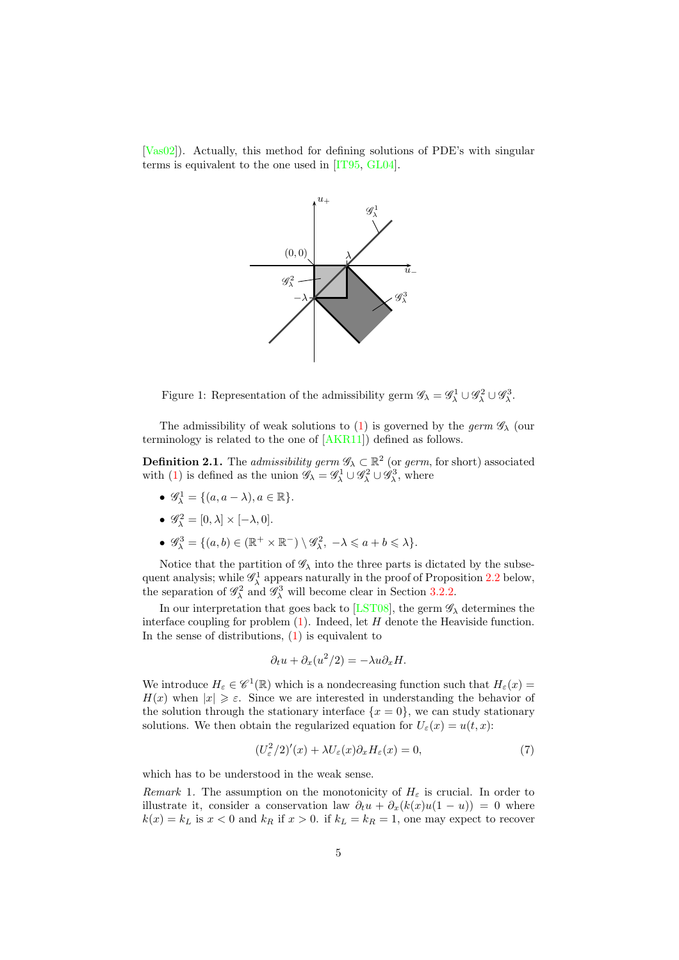[\[Vas02\]](#page-29-0)). Actually, this method for defining solutions of PDE's with singular terms is equivalent to the one used in [\[IT95,](#page-28-7) [GL04\]](#page-27-8).



Figure 1: Representation of the admissibility germ  $\mathscr{G}_{\lambda} = \mathscr{G}_{\lambda}^1 \cup \mathscr{G}_{\lambda}^2 \cup \mathscr{G}_{\lambda}^3$ .

The admissibility of weak solutions to [\(1\)](#page-0-0) is governed by the germ  $\mathscr{G}_{\lambda}$  (our terminology is related to the one of [\[AKR11\]](#page-26-0)) defined as follows.

<span id="page-4-1"></span>**Definition 2.1.** The *admissibility germ*  $\mathscr{G}_{\lambda} \subset \mathbb{R}^2$  (or *germ*, for short) associated with [\(1\)](#page-0-0) is defined as the union  $\mathscr{G}_{\lambda} = \mathscr{G}_{\lambda}^1 \cup \mathscr{G}_{\lambda}^2 \cup \mathscr{G}_{\lambda}^3$ , where

- $\mathscr{G}_\lambda^1 = \{(a, a \lambda), a \in \mathbb{R}\}.$
- $\mathscr{G}_\lambda^2 = [0, \lambda] \times [-\lambda, 0].$
- $\mathscr{G}_{\lambda}^3 = \{ (a, b) \in (\mathbb{R}^+ \times \mathbb{R}^-) \setminus \mathscr{G}_{\lambda}^2, -\lambda \leqslant a+b \leqslant \lambda \}.$

Notice that the partition of  $\mathscr{G}_{\lambda}$  into the three parts is dictated by the subsequent analysis; while  $\mathscr{G}_{\lambda}^{1}$  appears naturally in the proof of Proposition [2.2](#page-5-0) below, the separation of  $\mathscr{G}_\lambda^2$  and  $\mathscr{G}_\lambda^3$  will become clear in Section [3.2.2.](#page-17-0)

In our interpretation that goes back to [\[LST08\]](#page-28-0), the germ  $\mathscr{G}_{\lambda}$  determines the interface coupling for problem  $(1)$ . Indeed, let H denote the Heaviside function. In the sense of distributions,  $(1)$  is equivalent to

$$
\partial_t u + \partial_x (u^2/2) = -\lambda u \partial_x H.
$$

We introduce  $H_{\varepsilon} \in \mathscr{C}^1(\mathbb{R})$  which is a nondecreasing function such that  $H_{\varepsilon}(x) =$  $H(x)$  when  $|x| \geq \varepsilon$ . Since we are interested in understanding the behavior of the solution through the stationary interface  $\{x=0\}$ , we can study stationary solutions. We then obtain the regularized equation for  $U_{\varepsilon}(x) = u(t, x)$ :

<span id="page-4-0"></span>
$$
(U_{\varepsilon}^{2}/2)'(x) + \lambda U_{\varepsilon}(x)\partial_{x}H_{\varepsilon}(x) = 0,
$$
\n(7)

which has to be understood in the weak sense.

Remark 1. The assumption on the monotonicity of  $H_{\varepsilon}$  is crucial. In order to illustrate it, consider a conservation law  $\partial_t u + \partial_x (k(x)u(1-u)) = 0$  where  $k(x) = k_L$  is  $x < 0$  and  $k_R$  if  $x > 0$ . if  $k_L = k_R = 1$ , one may expect to recover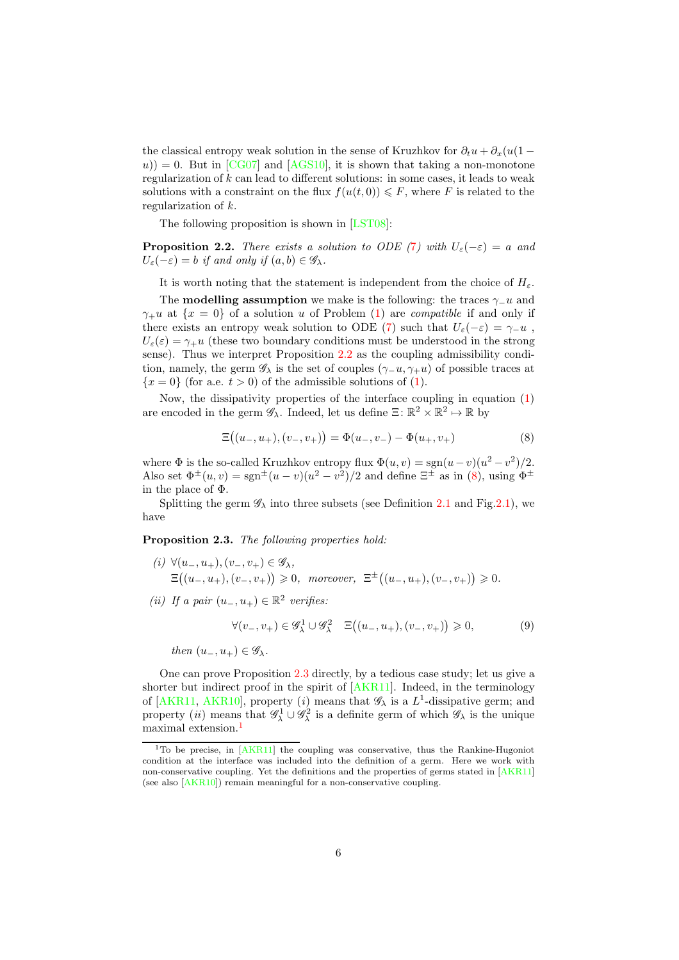the classical entropy weak solution in the sense of Kruzhkov for  $\partial_t u + \partial_x(u(1$  $u$ )) = 0. But in [\[CG07\]](#page-27-12) and [\[AGS10\]](#page-26-6), it is shown that taking a non-monotone regularization of k can lead to different solutions: in some cases, it leads to weak solutions with a constraint on the flux  $f(u(t, 0)) \leq F$ , where F is related to the regularization of k.

The following proposition is shown in [\[LST08\]](#page-28-0):

<span id="page-5-0"></span>**Proposition 2.2.** There exists a solution to ODE ([7](#page-4-0)) with  $U_{\varepsilon}(-\varepsilon) = a$  and  $U_{\varepsilon}(-\varepsilon) = b$  if and only if  $(a, b) \in \mathscr{G}_{\lambda}$ .

It is worth noting that the statement is independent from the choice of  $H_{\varepsilon}$ .

The **modelling assumption** we make is the following: the traces  $\gamma$ −u and  $\gamma_+u$  at  $\{x=0\}$  of a solution u of Problem [\(1\)](#page-0-0) are *compatible* if and only if there exists an entropy weak solution to ODE [\(7\)](#page-4-0) such that  $U_{\varepsilon}(-\varepsilon) = \gamma_{-}u$ ,  $U_{\varepsilon}(\varepsilon) = \gamma_{+}u$  (these two boundary conditions must be understood in the strong sense). Thus we interpret Proposition [2.2](#page-5-0) as the coupling admissibility condition, namely, the germ  $\mathscr{G}_{\lambda}$  is the set of couples  $(\gamma_{-}u, \gamma_{+}u)$  of possible traces at  ${x = 0}$  (for a.e.  $t > 0$ ) of the admissible solutions of [\(1\)](#page-0-0).

Now, the dissipativity properties of the interface coupling in equation [\(1\)](#page-0-0) are encoded in the germ  $\mathscr{G}_{\lambda}$ . Indeed, let us define  $\Xi \colon \mathbb{R}^2 \times \mathbb{R}^2 \mapsto \mathbb{R}$  by

<span id="page-5-1"></span>
$$
\Xi((u_-, u_+), (v_-, v_+)) = \Phi(u_-, v_-) - \Phi(u_+, v_+) \tag{8}
$$

where  $\Phi$  is the so-called Kruzhkov entropy flux  $\Phi(u, v) = \text{sgn}(u - v)(u^2 - v^2)/2$ . Also set  $\Phi^{\pm}(u,v) = \text{sgn}^{\pm}(u-v)(u^2-v^2)/2$  and define  $\Xi^{\pm}$  as in [\(8\)](#page-5-1), using  $\Phi^{\pm}$ in the place of Φ.

Splitting the germ  $\mathscr{G}_{\lambda}$  into three subsets (see Definition [2.1](#page-4-1) and Fig[.2.1\)](#page-3-1), we have

<span id="page-5-2"></span>**Proposition 2.3.** The following properties hold:

- (i)  $\forall (u_-, u_+), (v_-, v_+) \in \mathscr{G}_\lambda$ ,  $\Xi((u_-, u_+), (v_-, v_+)) \geq 0$ , moreover,  $\Xi^{\pm}((u_-, u_+), (v_-, v_+)) \geq 0$ .
- (ii) If a pair  $(u_-, u_+) \in \mathbb{R}^2$  verifies:

<span id="page-5-4"></span>
$$
\forall (v_-,v_+) \in \mathscr{G}_\lambda^1 \cup \mathscr{G}_\lambda^2 \quad \Xi\big((u_-,u_+),(v_-,v_+)\big) \geqslant 0, \tag{9}
$$

then  $(u_-, u_+) \in \mathscr{G}_\lambda$ .

One can prove Proposition [2.3](#page-5-2) directly, by a tedious case study; let us give a shorter but indirect proof in the spirit of [\[AKR11\]](#page-26-0). Indeed, in the terminology of [\[AKR11,](#page-26-0) [AKR10\]](#page-26-3), property (*i*) means that  $\mathscr{G}_{\lambda}$  is a  $L^{1}$ -dissipative germ; and property (*ii*) means that  $\mathscr{G}^1_\lambda \cup \mathscr{G}^2_\lambda$  is a definite germ of which  $\mathscr{G}_\lambda$  is the unique maximal extension.[1](#page-5-3)

<span id="page-5-3"></span><sup>&</sup>lt;sup>1</sup>To be precise, in [\[AKR11\]](#page-26-0) the coupling was conservative, thus the Rankine-Hugoniot condition at the interface was included into the definition of a germ. Here we work with non-conservative coupling. Yet the definitions and the properties of germs stated in [\[AKR11\]](#page-26-0) (see also [\[AKR10\]](#page-26-3)) remain meaningful for a non-conservative coupling.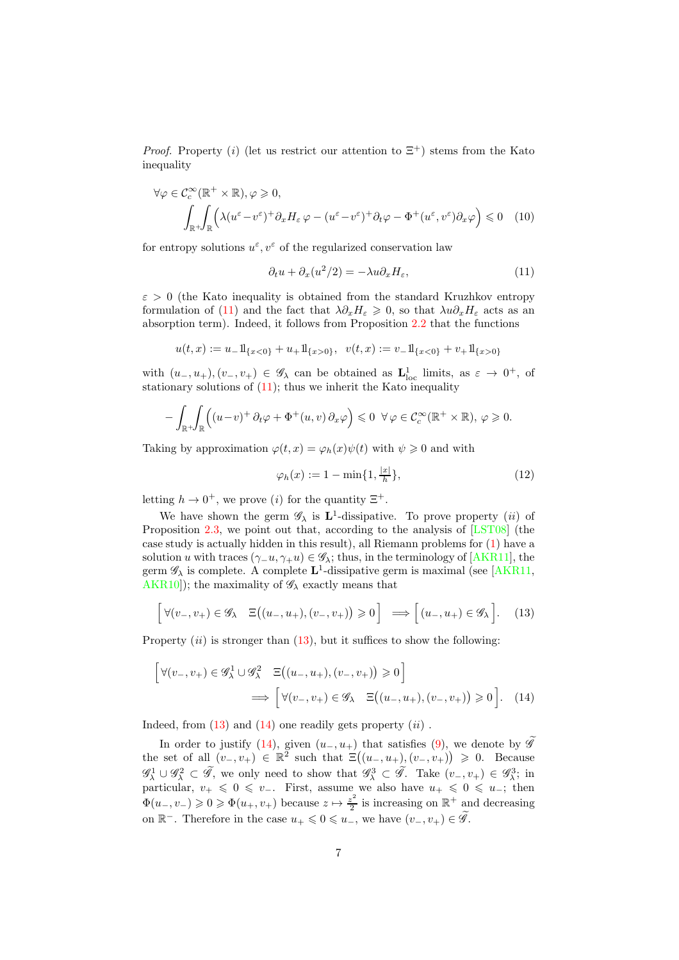*Proof.* Property (i) (let us restrict our attention to  $\Xi^+$ ) stems from the Kato inequality

$$
\forall \varphi \in C_c^{\infty}(\mathbb{R}^+ \times \mathbb{R}), \varphi \ge 0,\n\int_{\mathbb{R}^+} \int_{\mathbb{R}} \left( \lambda (u^{\varepsilon} - v^{\varepsilon})^+ \partial_x H_{\varepsilon} \varphi - (u^{\varepsilon} - v^{\varepsilon})^+ \partial_t \varphi - \Phi^+(u^{\varepsilon}, v^{\varepsilon}) \partial_x \varphi \right) \le 0 \quad (10)
$$

for entropy solutions  $u^{\varepsilon}, v^{\varepsilon}$  of the regularized conservation law

<span id="page-6-4"></span><span id="page-6-0"></span>
$$
\partial_t u + \partial_x (u^2/2) = -\lambda u \partial_x H_\varepsilon,\tag{11}
$$

 $\varepsilon > 0$  (the Kato inequality is obtained from the standard Kruzhkov entropy formulation of [\(11\)](#page-6-0) and the fact that  $\lambda \partial_x H_{\varepsilon} \geq 0$ , so that  $\lambda u \partial_x H_{\varepsilon}$  acts as an absorption term). Indeed, it follows from Proposition [2.2](#page-5-0) that the functions

$$
u(t,x):=u_-\mathrm{1}\hskip -3pt{\rm l}_{\{x<0\}}+u_+\mathrm{1}\hskip -3pt{\rm l}_{\{x>0\}},\;\;v(t,x):=v_-\mathrm{1}\hskip -3pt{\rm l}_{\{x<0\}}+v_+\mathrm{1}\hskip -3pt{\rm l}_{\{x>0\}}
$$

with  $(u_-, u_+), (v_-, v_+) \in \mathscr{G}_\lambda$  can be obtained as  $\mathbf{L}^1_{\text{loc}}$  limits, as  $\varepsilon \to 0^+$ , of stationary solutions of  $(11)$ ; thus we inherit the Kato inequality

$$
-\int_{\mathbb{R}^+}\!\!\int_{\mathbb{R}} \Big( (u-v)^+ \,\partial_t \varphi + \Phi^+(u,v) \,\partial_x \varphi \Big) \leq 0 \ \ \forall \varphi \in \mathcal{C}_c^{\infty}(\mathbb{R}^+ \times \mathbb{R}), \ \varphi \geq 0.
$$

Taking by approximation  $\varphi(t, x) = \varphi_h(x)\psi(t)$  with  $\psi \geq 0$  and with

<span id="page-6-3"></span><span id="page-6-2"></span>
$$
\varphi_h(x) := 1 - \min\{1, \frac{|x|}{h}\},\tag{12}
$$

letting  $h \to 0^+$ , we prove (*i*) for the quantity  $\Xi^+$ .

We have shown the germ  $\mathscr{G}_{\lambda}$  is  $\mathbf{L}^{1}$ -dissipative. To prove property (*ii*) of Proposition [2.3,](#page-5-2) we point out that, according to the analysis of [\[LST08\]](#page-28-0) (the case study is actually hidden in this result), all Riemann problems for [\(1\)](#page-0-0) have a solution u with traces  $(\gamma_-\overline{u}, \gamma_+\overline{u}) \in \mathscr{G}_\lambda$ ; thus, in the terminology of [\[AKR11\]](#page-26-0), the germ  $\mathscr{G}_{\lambda}$  is complete. A complete  $\mathbf{L}^{1}$ -dissipative germ is maximal (see [\[AKR11,](#page-26-0) [AKR10\]](#page-26-3)); the maximality of  $\mathscr{G}_{\lambda}$  exactly means that

<span id="page-6-1"></span>
$$
\left[\forall (v_-, v_+) \in \mathscr{G}_\lambda \quad \Xi\big((u_-, u_+), (v_-, v_+)\big) \geq 0\right] \implies \left[(u_-, u_+) \in \mathscr{G}_\lambda\right].\tag{13}
$$

Property  $(ii)$  is stronger than  $(13)$ , but it suffices to show the following:

$$
\begin{bmatrix}\n\forall (v_-, v_+) \in \mathscr{G}_\lambda^1 \cup \mathscr{G}_\lambda^2 & \Xi((u_-, u_+), (v_-, v_+)) \ge 0\n\end{bmatrix} \Longrightarrow \begin{bmatrix}\n\forall (v_-, v_+) \in \mathscr{G}_\lambda & \Xi((u_-, u_+), (v_-, v_+)) \ge 0\n\end{bmatrix}.
$$
 (14)

Indeed, from  $(13)$  and  $(14)$  one readily gets property  $(ii)$ .

In order to justify [\(14\)](#page-6-2), given  $(u_-, u_+)$  that satisfies [\(9\)](#page-5-4), we denote by  $\hat{\mathscr{G}}$ the set of all  $(v_-, v_+) \in \mathbb{R}^2$  such that  $\Xi((u_-, u_+), (v_-, v_+)) \geq 0$ . Because  $\mathscr{G}_{\lambda}^1 \cup \mathscr{G}_{\lambda}^2 \subset \widetilde{\mathscr{G}}$ , we only need to show that  $\mathscr{G}_{\lambda}^3 \subset \widetilde{\mathscr{G}}$ . Take  $(v_-, v_+) \in \mathscr{G}_{\lambda}^3$ ; in particular,  $v_+ \leq 0 \leq v_-.$  First, assume we also have  $u_+ \leq 0 \leq u_-$ ; then  $\Phi(u_-,v_-) \geq 0 \geq \Phi(u_+,v_+)$  because  $z \mapsto \frac{z^2}{2}$  $\frac{z^2}{2}$  is increasing on  $\mathbb{R}^+$  and decreasing on  $\mathbb{R}^-$ . Therefore in the case  $u_+ \leq 0 \leq u_-,$  we have  $(v_-, v_+) \in \widetilde{\mathscr{G}}$ .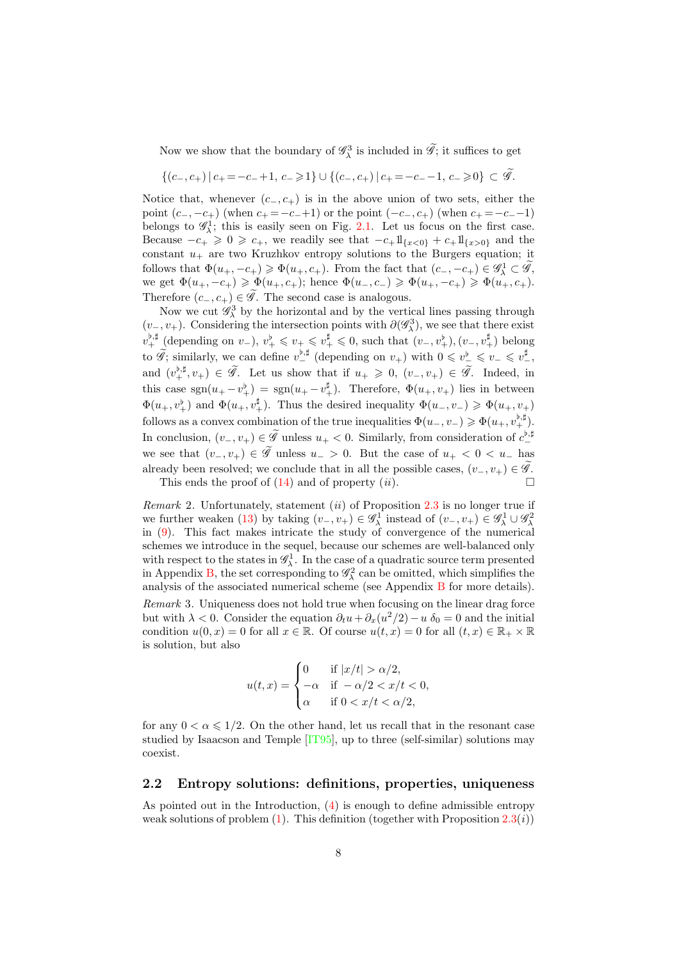Now we show that the boundary of  $\mathscr{G}_\lambda^3$  is included in  $\widetilde{\mathscr{G}}$ ; it suffices to get

$$
\{(c_-,c_+) | c_+ = -c_-+1, c_- \geq 1\} \cup \{(c_-,c_+) | c_+ = -c_--1, c_- \geq 0\} \subset \widetilde{\mathscr{G}}.
$$

Notice that, whenever  $(c_-, c_+)$  is in the above union of two sets, either the point  $(c_-, -c_+)$  (when  $c_+ = -c_-+1$ ) or the point  $(-c_-, c_+)$  (when  $c_+ = -c_-+1$ ) belongs to  $\mathscr{G}_{\lambda}^{1}$ ; this is easily seen on Fig. [2.1.](#page-3-1) Let us focus on the first case. Because  $-c_+ \geq 0 \geq c_+$ , we readily see that  $-c_+1_{\{x<0\}} + c_+1_{\{x>0\}}$  and the constant  $u_+$  are two Kruzhkov entropy solutions to the Burgers equation; it follows that  $\Phi(u_+, -c_+) \geq \Phi(u_+, c_+)$ . From the fact that  $(c_-, -c_+) \in \mathscr{G}_\lambda^1 \subset \widetilde{\mathscr{G}}$ , we get  $\Phi(u_+, -c_+) \geq \Phi(u_+, c_+)$ ; hence  $\Phi(u_-, c_-) \geq \Phi(u_+, -c_+) \geq \Phi(u_+, c_+)$ . Therefore  $(c_-, c_+) \in \widetilde{\mathscr{G}}$ . The second case is analogous.

Now we cut  $\mathscr{G}_{\lambda}^{3}$  by the horizontal and by the vertical lines passing through  $(v_-, v_+)$ . Considering the intersection points with  $\partial(\mathscr{G}_\lambda^3)$ , we see that there exist  $v_+^{\flat,\sharp}$  (depending on  $v_-$ ),  $v_+^{\flat} \leq v_+ \leq v_+^{\sharp} \leq 0$ , such that  $(v_-,v_+^{\flat})$ ,  $(v_-,v_+^{\sharp})$  belong to  $\widetilde{\mathscr{G}}$ ; similarly, we can define  $v_{-}^{\flat,\sharp}$  (depending on  $v_{+}$ ) with  $0 \leq v_{-}^{\flat} \leq v_{-} \leq v_{-}^{\sharp}$ , and  $(v_+^{\flat,\sharp}, v_+) \in \widetilde{\mathscr{G}}$ . Let us show that if  $u_+ \geq 0$ ,  $(v_-, v_+) \in \widetilde{\mathscr{G}}$ . Indeed, in this case  $sgn(u_{+}-v_{+}^{\sharp}) = sgn(u_{+}-v_{+}^{\sharp}).$  Therefore,  $\Phi(u_{+},v_{+})$  lies in between  $\Phi(u_+,v_+^{\flat})$  and  $\Phi(u_+,v_+^{\sharp})$ . Thus the desired inequality  $\Phi(u_-,v_-) \geq \Phi(u_+,v_+)$ follows as a convex combination of the true inequalities  $\Phi(u_-, v_-) \geqslant \Phi(u_+, v_+^{\flat, \sharp}).$ In conclusion,  $(v_-, v_+) \in \widetilde{\mathscr{G}}$  unless  $u_+ < 0$ . Similarly, from consideration of  $c_{-}^{b, \sharp}$ we see that  $(v_-, v_+) \in \widetilde{\mathscr{G}}$  unless  $u_- > 0$ . But the case of  $u_+ < 0 < u_-$  has already been resolved; we conclude that in all the possible cases,  $(v_-, v_+) \in \widetilde{\mathscr{G}}$ . This ends the proof of  $(14)$  and of property  $(ii)$ .

Remark 2. Unfortunately, statement  $(ii)$  of Proposition [2.3](#page-5-2) is no longer true if we further weaken [\(13\)](#page-6-1) by taking  $(v_-, v_+) \in \mathscr{G}_\lambda^1$  instead of  $(v_-, v_+) \in \mathscr{G}_\lambda^1 \cup \mathscr{G}_\lambda^2$ in [\(9\)](#page-5-4). This fact makes intricate the study of convergence of the numerical schemes we introduce in the sequel, because our schemes are well-balanced only with respect to the states in  $\mathscr{G}_{\lambda}^1$ . In the case of a quadratic source term presented in Appendix [B,](#page-24-0) the set corresponding to  $\mathscr{G}_{\lambda}^2$  can be omitted, which simplifies the analysis of the associated numerical scheme (see Appendix [B](#page-24-0) for more details). Remark 3. Uniqueness does not hold true when focusing on the linear drag force but with  $\lambda < 0$ . Consider the equation  $\partial_t u + \partial_x(u^2/2) - u \, \delta_0 = 0$  and the initial condition  $u(0, x) = 0$  for all  $x \in \mathbb{R}$ . Of course  $u(t, x) = 0$  for all  $(t, x) \in \mathbb{R}_+ \times \mathbb{R}$ is solution, but also

$$
u(t,x) = \begin{cases} 0 & \text{if } |x/t| > \alpha/2, \\ -\alpha & \text{if } -\alpha/2 < x/t < 0, \\ \alpha & \text{if } 0 < x/t < \alpha/2, \end{cases}
$$

for any  $0 < \alpha \leq 1/2$ . On the other hand, let us recall that in the resonant case studied by Isaacson and Temple [\[IT95\]](#page-28-7), up to three (self-similar) solutions may coexist.

#### 2.2 Entropy solutions: definitions, properties, uniqueness

As pointed out in the Introduction, [\(4\)](#page-2-2) is enough to define admissible entropy weak solutions of problem  $(1)$ . This definition (together with Proposition [2.3\(](#page-5-2)*i*))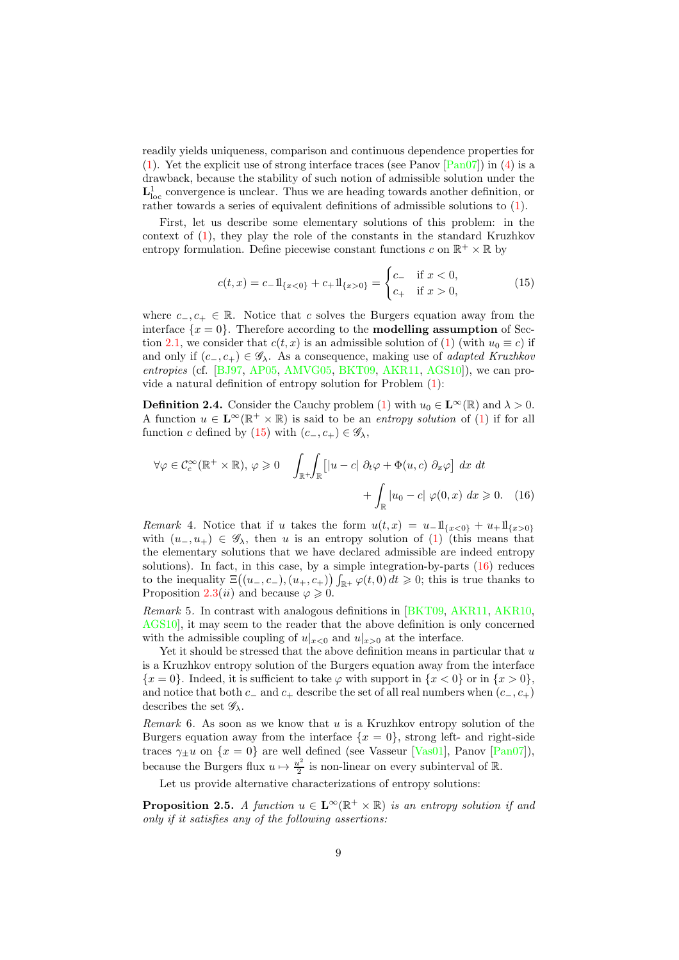readily yields uniqueness, comparison and continuous dependence properties for [\(1\)](#page-0-0). Yet the explicit use of strong interface traces (see Panov  $\lceil \text{Pan}07 \rceil$ ) in [\(4\)](#page-2-2) is a drawback, because the stability of such notion of admissible solution under the  $L^1_{loc}$  convergence is unclear. Thus we are heading towards another definition, or rather towards a series of equivalent definitions of admissible solutions to [\(1\)](#page-0-0).

First, let us describe some elementary solutions of this problem: in the context of [\(1\)](#page-0-0), they play the role of the constants in the standard Kruzhkov entropy formulation. Define piecewise constant functions c on  $\mathbb{R}^+ \times \mathbb{R}$  by

<span id="page-8-0"></span>
$$
c(t,x) = c_{-}11_{\{x<0\}} + c_{+}11_{\{x>0\}} = \begin{cases} c_{-} & \text{if } x < 0, \\ c_{+} & \text{if } x > 0, \end{cases}
$$
 (15)

where  $c_-, c_+ \in \mathbb{R}$ . Notice that c solves the Burgers equation away from the interface  $\{x=0\}$ . Therefore according to the **modelling assumption** of Sec-tion [2.1,](#page-3-1) we consider that  $c(t, x)$  is an admissible solution of [\(1\)](#page-0-0) (with  $u_0 \equiv c$ ) if and only if  $(c_-, c_+) \in \mathscr{G}_\lambda$ . As a consequence, making use of *adapted Kruzhkov* entropies (cf. [\[BJ97,](#page-27-7) [AP05,](#page-26-5) [AMVG05,](#page-26-7) [BKT09,](#page-27-5) [AKR11,](#page-26-0) [AGS10\]](#page-26-6)), we can provide a natural definition of entropy solution for Problem [\(1\)](#page-0-0):

<span id="page-8-2"></span>**Definition 2.4.** Consider the Cauchy problem [\(1\)](#page-0-0) with  $u_0 \in \mathbf{L}^{\infty}(\mathbb{R})$  and  $\lambda > 0$ . A function  $u \in \mathbf{L}^{\infty}(\mathbb{R}^+ \times \mathbb{R})$  is said to be an *entropy solution* of [\(1\)](#page-0-0) if for all function c defined by [\(15\)](#page-8-0) with  $(c_-, c_+) \in \mathscr{G}_{\lambda}$ ,

<span id="page-8-1"></span>
$$
\forall \varphi \in C_c^{\infty}(\mathbb{R}^+ \times \mathbb{R}), \varphi \ge 0 \quad \int_{\mathbb{R}^+} \int_{\mathbb{R}} \left[ |u - c| \partial_t \varphi + \Phi(u, c) \partial_x \varphi \right] dx dt
$$

$$
+ \int_{\mathbb{R}} |u_0 - c| \varphi(0, x) dx \ge 0. \quad (16)
$$

<span id="page-8-4"></span>Remark 4. Notice that if u takes the form  $u(t, x) = u_-\mathbb{1}_{\{x<0\}} + u_+\mathbb{1}_{\{x>0\}}$ with  $(u_-, u_+) \in \mathscr{G}_\lambda$ , then u is an entropy solution of [\(1\)](#page-0-0) (this means that the elementary solutions that we have declared admissible are indeed entropy solutions). In fact, in this case, by a simple integration-by-parts  $(16)$  reduces to the inequality  $\Xi((u_-,c_-),(u_+,c_+))\int_{\mathbb{R}^+}\varphi(t,0)\,dt\geqslant 0$ ; this is true thanks to Proposition [2.3\(](#page-5-2)*ii*) and because  $\varphi \geq 0$ .

<span id="page-8-3"></span>Remark 5. In contrast with analogous definitions in [\[BKT09,](#page-27-5) [AKR11,](#page-26-0) [AKR10,](#page-26-3) [AGS10\]](#page-26-6), it may seem to the reader that the above definition is only concerned with the admissible coupling of  $u|_{x>0}$  and  $u|_{x>0}$  at the interface.

Yet it should be stressed that the above definition means in particular that u is a Kruzhkov entropy solution of the Burgers equation away from the interface  ${x = 0}$ . Indeed, it is sufficient to take  $\varphi$  with support in  ${x < 0}$  or in  ${x > 0}$ , and notice that both  $c_-\text{ and } c_+$  describe the set of all real numbers when  $(c_-, c_+)$ describes the set  $\mathscr{G}_{\lambda}$ .

Remark 6. As soon as we know that  $u$  is a Kruzhkov entropy solution of the Burgers equation away from the interface  $\{x = 0\}$ , strong left- and right-side traces  $\gamma_{\pm}u$  on  $\{x=0\}$  are well defined (see Vasseur [\[Vas01\]](#page-28-11), Panov [\[Pan07\]](#page-28-6)), because the Burgers flux  $u \mapsto \frac{u^2}{2}$  $\frac{u^2}{2}$  is non-linear on every subinterval of  $\mathbb{R}$ .

Let us provide alternative characterizations of entropy solutions:

<span id="page-8-5"></span>**Proposition 2.5.** A function  $u \in \mathbf{L}^{\infty}(\mathbb{R}^+ \times \mathbb{R})$  is an entropy solution if and only if it satisfies any of the following assertions: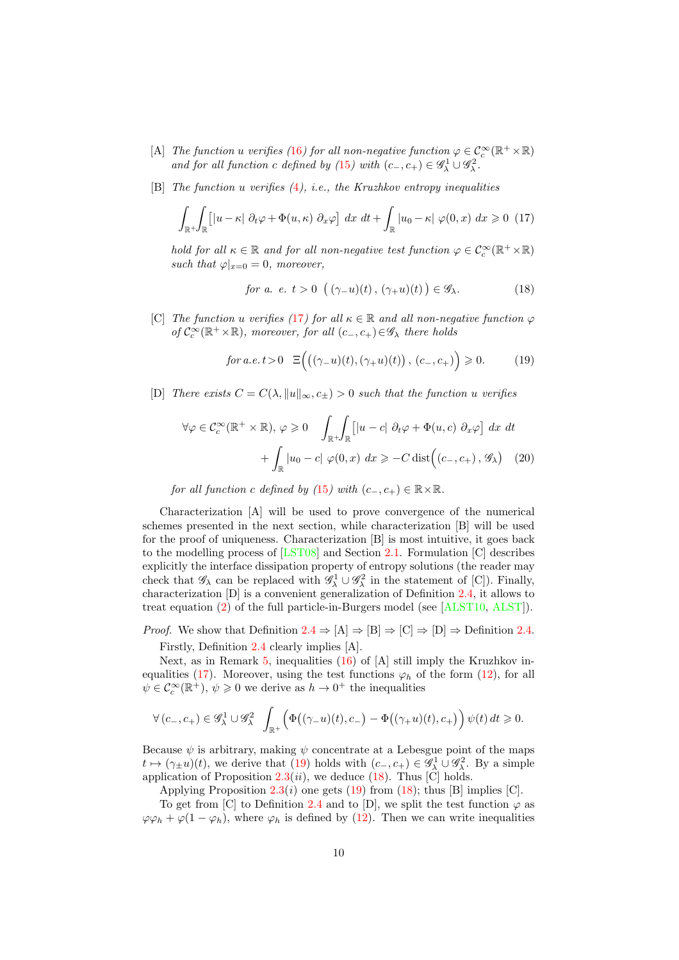- [A] The function u verifies ([16](#page-8-1)) for all non-negative function  $\varphi \in C_c^{\infty}(\mathbb{R}^+ \times \mathbb{R})$ and for all function c defined by ([15](#page-8-0)) with  $(c_-, c_+) \in \mathscr{G}_\lambda^1 \cup \mathscr{G}_\lambda^2$ .
- [B] The function u verifies  $(4)$  $(4)$  $(4)$ , i.e., the Kruzhkov entropy inequalities

<span id="page-9-0"></span>
$$
\int_{\mathbb{R}^+} \int_{\mathbb{R}} \left[ |u - \kappa| \partial_t \varphi + \Phi(u, \kappa) \partial_x \varphi \right] dx dt + \int_{\mathbb{R}} |u_0 - \kappa| \varphi(0, x) dx \geq 0 \tag{17}
$$

hold for all  $\kappa \in \mathbb{R}$  and for all non-negative test function  $\varphi \in C_c^{\infty}(\mathbb{R}^+ \times \mathbb{R})$ such that  $\varphi|_{x=0} = 0$ , moreover,

<span id="page-9-2"></span>for a. 
$$
e, t > 0 \left( (\gamma_{-}u)(t), (\gamma_{+}u)(t) \right) \in \mathscr{G}_{\lambda}.
$$
 (18)

[C] The function u verifies ([17](#page-9-0)) for all  $\kappa \in \mathbb{R}$  and all non-negative function  $\varphi$ of  $C_c^{\infty}(\mathbb{R}^+ \times \mathbb{R})$ , moreover, for all  $(c_-, c_+) \in \mathscr{G}_{\lambda}$  there holds

<span id="page-9-3"></span><span id="page-9-1"></span>
$$
for a.e. t > 0 \quad \Xi\Big(\big((\gamma_{-}u)(t), (\gamma_{+}u)(t)\big), (c_{-}, c_{+})\Big) \geq 0. \tag{19}
$$

[D] There exists  $C = C(\lambda, \|u\|_{\infty}, c_{+}) > 0$  such that the function u verifies

$$
\forall \varphi \in C_c^{\infty}(\mathbb{R}^+ \times \mathbb{R}), \varphi \ge 0 \quad \int_{\mathbb{R}^+} \int_{\mathbb{R}} \left[ |u - c| \partial_t \varphi + \Phi(u, c) \partial_x \varphi \right] dx dt
$$

$$
+ \int_{\mathbb{R}} |u_0 - c| \varphi(0, x) dx \ge -C \operatorname{dist} \left( (c_-, c_+), \mathscr{G}_{\lambda} \right) (20)
$$

for all function c defined by ([15](#page-8-0)) with  $(c_-, c_+) \in \mathbb{R} \times \mathbb{R}$ .

Characterization [A] will be used to prove convergence of the numerical schemes presented in the next section, while characterization [B] will be used for the proof of uniqueness. Characterization [B] is most intuitive, it goes back to the modelling process of [\[LST08\]](#page-28-0) and Section [2.1.](#page-3-1) Formulation [C] describes explicitly the interface dissipation property of entropy solutions (the reader may check that  $\mathscr{G}_{\lambda}$  can be replaced with  $\mathscr{G}_{\lambda}^1 \cup \mathscr{G}_{\lambda}^2$  in the statement of [C]). Finally, characterization [D] is a convenient generalization of Definition [2.4,](#page-8-2) it allows to treat equation [\(2\)](#page-1-0) of the full particle-in-Burgers model (see [\[ALST10,](#page-26-1) [ALST\]](#page-26-2)).

*Proof.* We show that Definition  $2.4 \Rightarrow [A] \Rightarrow [B] \Rightarrow [C] \Rightarrow [D] \Rightarrow$  $2.4 \Rightarrow [A] \Rightarrow [B] \Rightarrow [C] \Rightarrow [D] \Rightarrow$  Definition [2.4.](#page-8-2) Firstly, Definition [2.4](#page-8-2) clearly implies [A].

Next, as in Remark [5,](#page-8-3) inequalities [\(16\)](#page-8-1) of [A] still imply the Kruzhkov in-equalities [\(17\)](#page-9-0). Moreover, using the test functions  $\varphi_h$  of the form [\(12\)](#page-6-3), for all  $\psi \in C_c^{\infty}(\mathbb{R}^+), \psi \geq 0$  we derive as  $h \to 0^+$  the inequalities

$$
\forall \left( c_-,c_+ \right) \in \mathscr{G}^1_\lambda \cup \mathscr{G}^2_\lambda \quad \int_{\mathbb{R}^+} \Bigl( \Phi \bigl((\gamma_- u)(t),c_- \bigr) - \Phi \bigl((\gamma_+ u)(t),c_+ \bigr) \Bigr) \, \psi(t) \, dt \geqslant 0.
$$

Because  $\psi$  is arbitrary, making  $\psi$  concentrate at a Lebesgue point of the maps  $t \mapsto (\gamma_{\pm}u)(t)$ , we derive that [\(19\)](#page-9-1) holds with  $(c_-, c_+) \in \mathscr{G}_\lambda^1 \cup \mathscr{G}_\lambda^2$ . By a simple application of Proposition  $2.3(ii)$  $2.3(ii)$ , we deduce [\(18\)](#page-9-2). Thus [C] holds.

Applying Proposition [2.3\(](#page-5-2)*i*) one gets [\(19\)](#page-9-1) from [\(18\)](#page-9-2); thus [B] implies [C].

To get from [C] to Definition [2.4](#page-8-2) and to [D], we split the test function  $\varphi$  as  $\varphi \varphi_h + \varphi (1 - \varphi_h)$ , where  $\varphi_h$  is defined by [\(12\)](#page-6-3). Then we can write inequalities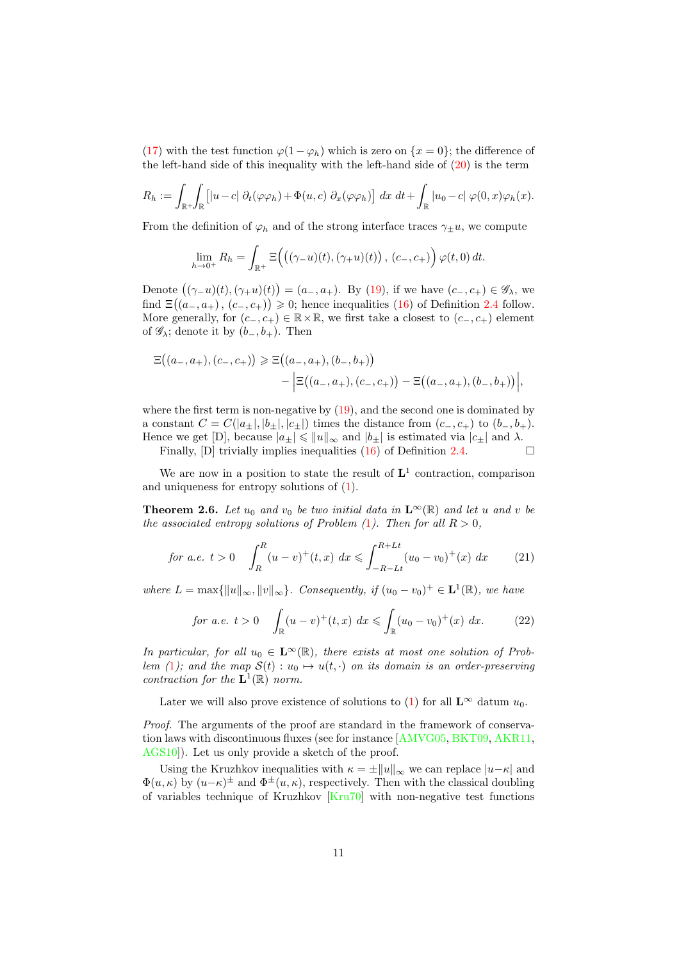[\(17\)](#page-9-0) with the test function  $\varphi(1-\varphi_h)$  which is zero on  $\{x=0\}$ ; the difference of the left-hand side of this inequality with the left-hand side of  $(20)$  is the term

$$
R_h := \int_{\mathbb{R}^+} \int_{\mathbb{R}} \left[ |u - c| \ \partial_t (\varphi \varphi_h) + \Phi(u, c) \ \partial_x (\varphi \varphi_h) \right] dx \ dt + \int_{\mathbb{R}} |u_0 - c| \ \varphi(0, x) \varphi_h(x).
$$

From the definition of  $\varphi_h$  and of the strong interface traces  $\gamma_{\pm}u$ , we compute

$$
\lim_{h\to 0^+} R_h = \int_{\mathbb{R}^+} \Xi\Big(\big((\gamma_- u)(t), (\gamma_+ u)(t)\big), (c_-, c_+)\Big) \varphi(t, 0) dt.
$$

Denote  $((\gamma_{-}u)(t),(\gamma_{+}u)(t)) = (a_{-}, a_{+})$ . By [\(19\)](#page-9-1), if we have  $(c_{-}, c_{+}) \in \mathscr{G}_{\lambda}$ , we find  $\Xi((a_-, a_+), (c_-, c_+)) \geq 0$ ; hence inequalities [\(16\)](#page-8-1) of Definition [2.4](#page-8-2) follow. More generally, for  $(c_-, c_+) \in \mathbb{R} \times \mathbb{R}$ , we first take a closest to  $(c_-, c_+)$  element of  $\mathscr{G}_{\lambda}$ ; denote it by  $(b_-, b_+)$ . Then

$$
\Xi((a_{-}, a_{+}), (c_{-}, c_{+})) \geq \Xi((a_{-}, a_{+}), (b_{-}, b_{+})) - \Big|\Xi((a_{-}, a_{+}), (c_{-}, c_{+})) - \Xi((a_{-}, a_{+}), (b_{-}, b_{+}))\Big|,
$$

where the first term is non-negative by  $(19)$ , and the second one is dominated by a constant  $C = C(|a_{\pm}|, |b_{\pm}|, |c_{\pm}|)$  times the distance from  $(c_-, c_+)$  to  $(b_-, b_+).$ Hence we get [D], because  $|a_{\pm}| \leq ||u||_{\infty}$  and  $|b_{\pm}|$  is estimated via  $|c_{\pm}|$  and  $\lambda$ .

Finally, [D] trivially implies inequalities [\(16\)](#page-8-1) of Definition [2.4.](#page-8-2)  $\Box$ 

We are now in a position to state the result of  $L^1$  contraction, comparison and uniqueness for entropy solutions of [\(1\)](#page-0-0).

<span id="page-10-2"></span>**Theorem 2.6.** Let  $u_0$  and  $v_0$  be two initial data in  $\mathbf{L}^{\infty}(\mathbb{R})$  and let u and v be the associated entropy solutions of Problem  $(1)$  $(1)$  $(1)$ . Then for all  $R > 0$ ,

<span id="page-10-0"></span>for a.e. 
$$
t > 0
$$
  $\int_{R}^{R} (u - v)^{+}(t, x) dx \le \int_{-R-Lt}^{R+Lt} (u_0 - v_0)^{+}(x) dx$  (21)

where  $L = \max{\{\Vert u \Vert_{\infty}, \Vert v \Vert_{\infty}\}.$  Consequently, if  $(u_0 - v_0)^+ \in L^1(\mathbb{R})$ , we have

<span id="page-10-1"></span>for a.e. 
$$
t > 0
$$
  $\int_{\mathbb{R}} (u - v)^{+}(t, x) dx \le \int_{\mathbb{R}} (u_0 - v_0)^{+}(x) dx.$  (22)

In particular, for all  $u_0 \in \mathbf{L}^{\infty}(\mathbb{R})$ , there exists at most one solution of Prob-lem ([1](#page-0-0)); and the map  $S(t) : u_0 \mapsto u(t, \cdot)$  on its domain is an order-preserving contraction for the  $\mathbf{L}^1(\mathbb{R})$  norm.

Later we will also prove existence of solutions to [\(1\)](#page-0-0) for all  $\mathbf{L}^{\infty}$  datum  $u_0$ .

Proof. The arguments of the proof are standard in the framework of conservation laws with discontinuous fluxes (see for instance [\[AMVG05,](#page-26-7) [BKT09,](#page-27-5) [AKR11,](#page-26-0) AGS10. Let us only provide a sketch of the proof.

Using the Kruzhkov inequalities with  $\kappa = \pm ||u||_{\infty}$  we can replace  $|u-\kappa|$  and  $\Phi(u,\kappa)$  by  $(u-\kappa)^{\pm}$  and  $\Phi^{\pm}(u,\kappa)$ , respectively. Then with the classical doubling of variables technique of Kruzhkov [\[Kru70\]](#page-28-12) with non-negative test functions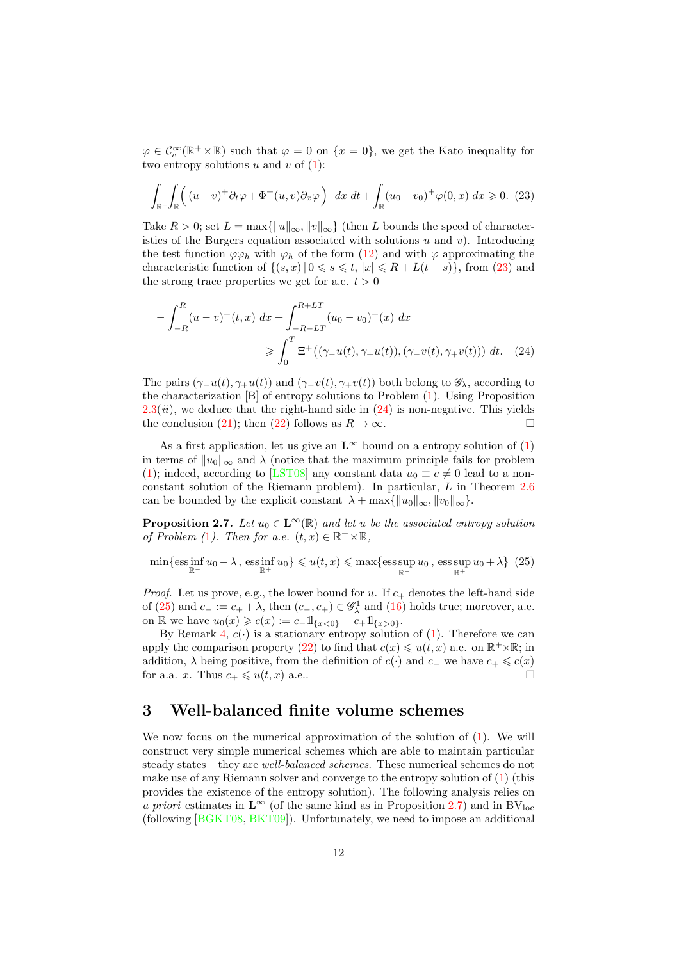$\varphi \in \mathcal{C}_c^{\infty}(\mathbb{R}^+ \times \mathbb{R})$  such that  $\varphi = 0$  on  $\{x = 0\}$ , we get the Kato inequality for two entropy solutions u and v of  $(1)$ :

<span id="page-11-1"></span>
$$
\int_{\mathbb{R}^+} \int_{\mathbb{R}} \left( (u-v)^+ \partial_t \varphi + \Phi^+(u,v) \partial_x \varphi \right) dx dt + \int_{\mathbb{R}} (u_0 - v_0)^+ \varphi(0,x) dx \ge 0. \tag{23}
$$

Take  $R > 0$ ; set  $L = \max{\|u\|_{\infty}, \|v\|_{\infty}\}\$  (then L bounds the speed of characteristics of the Burgers equation associated with solutions  $u$  and  $v$ ). Introducing the test function  $\varphi \varphi_h$  with  $\varphi_h$  of the form [\(12\)](#page-6-3) and with  $\varphi$  approximating the characteristic function of  $\{(s, x) | 0 \leq s \leq t, |x| \leq R + L(t - s)\}\)$ , from [\(23\)](#page-11-1) and the strong trace properties we get for a.e.  $t > 0$ 

<span id="page-11-2"></span>
$$
-\int_{-R}^{R} (u-v)^{+}(t,x) dx + \int_{-R-LT}^{R+LT} (u_0-v_0)^{+}(x) dx
$$
  

$$
\geqslant \int_{0}^{T} \Xi^{+} ((\gamma_{-}u(t), \gamma_{+}u(t)), (\gamma_{-}v(t), \gamma_{+}v(t))) dt. \quad (24)
$$

The pairs  $(\gamma_{-}u(t), \gamma_{+}u(t))$  and  $(\gamma_{-}v(t), \gamma_{+}v(t))$  both belong to  $\mathscr{G}_{\lambda}$ , according to the characterization [B] of entropy solutions to Problem [\(1\)](#page-0-0). Using Proposition  $2.3(ii)$  $2.3(ii)$ , we deduce that the right-hand side in  $(24)$  is non-negative. This yields the conclusion [\(21\)](#page-10-0); then [\(22\)](#page-10-1) follows as  $R \to \infty$ .

As a first application, let us give an  $\mathbf{L}^{\infty}$  bound on a entropy solution of [\(1\)](#page-0-0) in terms of  $||u_0||_{\infty}$  and  $\lambda$  (notice that the maximum principle fails for problem [\(1\)](#page-0-0); indeed, according to [\[LST08\]](#page-28-0) any constant data  $u_0 \equiv c \neq 0$  lead to a nonconstant solution of the Riemann problem). In particular, L in Theorem [2.6](#page-10-2) can be bounded by the explicit constant  $\lambda + \max{\{\Vert u_0\Vert_{\infty}, \Vert v_0\Vert_{\infty}\}}$ .

<span id="page-11-4"></span>**Proposition 2.7.** Let  $u_0 \in \mathbf{L}^{\infty}(\mathbb{R})$  and let u be the associated entropy solution of Problem ([1](#page-0-0)). Then for a.e.  $(t, x) \in \mathbb{R}^+ \times \mathbb{R}$ ,

<span id="page-11-3"></span>
$$
\min\{\text{ess}\inf_{\mathbb{R}^-} u_0 - \lambda\,,\,\text{ess}\inf_{\mathbb{R}^+} u_0\} \leqslant u(t,x) \leqslant \max\{\text{ess}\sup_{\mathbb{R}^-} u_0\,,\,\text{ess}\sup_{\mathbb{R}^+} u_0 + \lambda\} \tag{25}
$$

*Proof.* Let us prove, e.g., the lower bound for u. If  $c_{+}$  denotes the left-hand side of [\(25\)](#page-11-3) and  $c_{-} := c_{+} + \lambda$ , then  $(c_{-}, c_{+}) \in \mathscr{G}_{\lambda}^{1}$  and [\(16\)](#page-8-1) holds true; moreover, a.e. on R we have  $u_0(x) \geqslant c(x) := c_- 1\!\mathrm{l}_{\{x<0\}} + c_+ 1\!\mathrm{l}_{\{x>0\}}.$ 

By Remark [4,](#page-8-4)  $c(\cdot)$  is a stationary entropy solution of [\(1\)](#page-0-0). Therefore we can apply the comparison property [\(22\)](#page-10-1) to find that  $c(x) \leq u(t, x)$  a.e. on  $\mathbb{R}^+ \times \mathbb{R}$ ; in addition,  $\lambda$  being positive, from the definition of  $c(\cdot)$  and  $c_-\,$  we have  $c_+\leqslant c(x)$ for a.a. x. Thus  $c_+ \leq u(t, x)$  a.e..

### <span id="page-11-0"></span>3 Well-balanced finite volume schemes

We now focus on the numerical approximation of the solution of [\(1\)](#page-0-0). We will construct very simple numerical schemes which are able to maintain particular steady states – they are well-balanced schemes. These numerical schemes do not make use of any Riemann solver and converge to the entropy solution of [\(1\)](#page-0-0) (this provides the existence of the entropy solution). The following analysis relies on a priori estimates in  $\mathbf{L}^{\infty}$  (of the same kind as in Proposition [2.7\)](#page-11-4) and in BV<sub>loc</sub> (following [\[BGKT08,](#page-27-4) [BKT09\]](#page-27-5)). Unfortunately, we need to impose an additional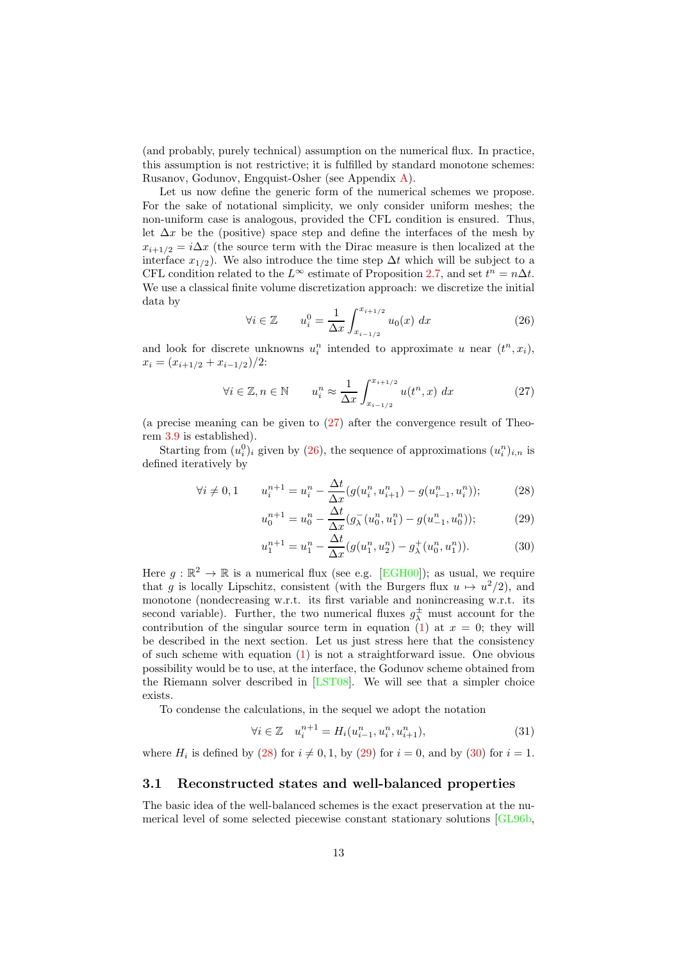(and probably, purely technical) assumption on the numerical flux. In practice, this assumption is not restrictive; it is fulfilled by standard monotone schemes: Rusanov, Godunov, Engquist-Osher (see Appendix [A\)](#page-23-0).

Let us now define the generic form of the numerical schemes we propose. For the sake of notational simplicity, we only consider uniform meshes; the non-uniform case is analogous, provided the CFL condition is ensured. Thus, let  $\Delta x$  be the (positive) space step and define the interfaces of the mesh by  $x_{i+1/2} = i\Delta x$  (the source term with the Dirac measure is then localized at the interface  $x_{1/2}$ ). We also introduce the time step  $\Delta t$  which will be subject to a CFL condition related to the  $L^{\infty}$  estimate of Proposition [2.7,](#page-11-4) and set  $t^{n} = n\Delta t$ . We use a classical finite volume discretization approach: we discretize the initial data by

<span id="page-12-1"></span>
$$
\forall i \in \mathbb{Z} \qquad u_i^0 = \frac{1}{\Delta x} \int_{x_{i-1/2}}^{x_{i+1/2}} u_0(x) \, dx \tag{26}
$$

and look for discrete unknowns  $u_i^n$  intended to approximate u near  $(t^n, x_i)$ ,  $x_i = (x_{i+1/2} + x_{i-1/2})/2$ :

<span id="page-12-0"></span>
$$
\forall i \in \mathbb{Z}, n \in \mathbb{N} \qquad u_i^n \approx \frac{1}{\Delta x} \int_{x_{i-1/2}}^{x_{i+1/2}} u(t^n, x) \, dx \tag{27}
$$

(a precise meaning can be given to [\(27\)](#page-12-0) after the convergence result of Theorem [3.9](#page-19-0) is established).

Starting from  $(u_i^0)_i$  given by [\(26\)](#page-12-1), the sequence of approximations  $(u_i^n)_{i,n}$  is defined iteratively by

$$
\forall i \neq 0, 1 \qquad u_i^{n+1} = u_i^n - \frac{\Delta t}{\Delta x} (g(u_i^n, u_{i+1}^n) - g(u_{i-1}^n, u_i^n)); \tag{28}
$$

<span id="page-12-2"></span>
$$
u_0^{n+1} = u_0^n - \frac{\Delta t}{\Delta x} (g_\lambda^-(u_0^n, u_1^n) - g(u_{-1}^n, u_0^n));
$$
\n(29)

<span id="page-12-4"></span><span id="page-12-3"></span>
$$
u_1^{n+1} = u_1^n - \frac{\Delta t}{\Delta x} (g(u_1^n, u_2^n) - g_\lambda^+(u_0^n, u_1^n)).
$$
\n(30)

Here  $g : \mathbb{R}^2 \to \mathbb{R}$  is a numerical flux (see e.g. [\[EGH00\]](#page-27-3)); as usual, we require that g is locally Lipschitz, consistent (with the Burgers flux  $u \mapsto u^2/2$ ), and monotone (nondecreasing w.r.t. its first variable and nonincreasing w.r.t. its second variable). Further, the two numerical fluxes  $g^{\pm}_{\lambda}$  must account for the contribution of the singular source term in equation [\(1\)](#page-0-0) at  $x = 0$ ; they will be described in the next section. Let us just stress here that the consistency of such scheme with equation [\(1\)](#page-0-0) is not a straightforward issue. One obvious possibility would be to use, at the interface, the Godunov scheme obtained from the Riemann solver described in [\[LST08\]](#page-28-0). We will see that a simpler choice exists.

To condense the calculations, in the sequel we adopt the notation

<span id="page-12-5"></span>
$$
\forall i \in \mathbb{Z} \quad u_i^{n+1} = H_i(u_{i-1}^n, u_i^n, u_{i+1}^n), \tag{31}
$$

where  $H_i$  is defined by [\(28\)](#page-12-2) for  $i \neq 0, 1$ , by [\(29\)](#page-12-3) for  $i = 0$ , and by [\(30\)](#page-12-4) for  $i = 1$ .

#### 3.1 Reconstructed states and well-balanced properties

The basic idea of the well-balanced schemes is the exact preservation at the numerical level of some selected piecewise constant stationary solutions [\[GL96b,](#page-27-0)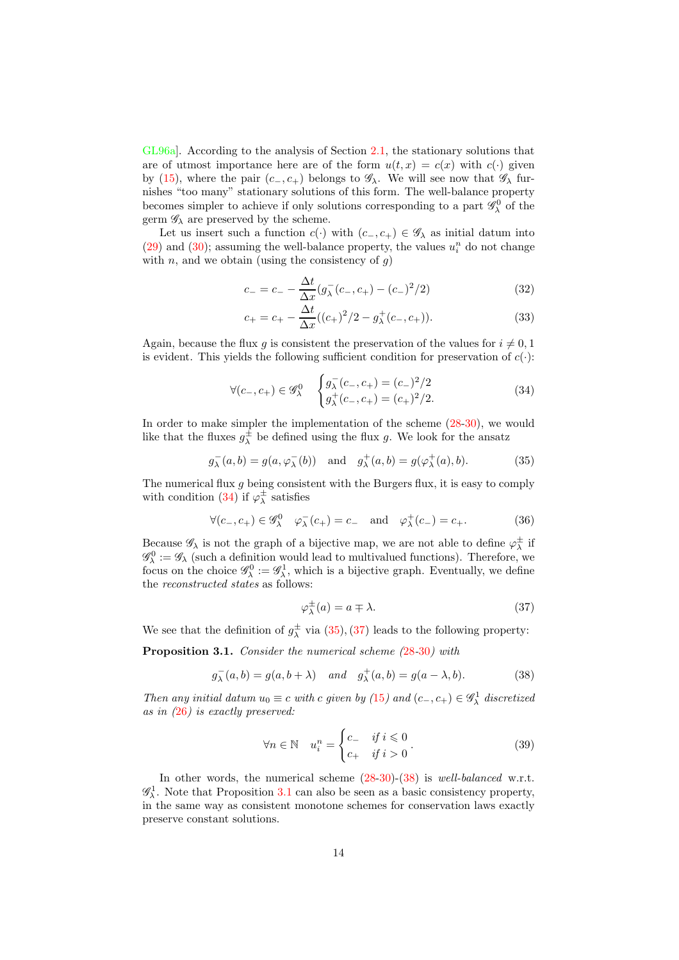[GL96a\]](#page-27-11). According to the analysis of Section [2.1,](#page-3-1) the stationary solutions that are of utmost importance here are of the form  $u(t, x) = c(x)$  with  $c(\cdot)$  given by [\(15\)](#page-8-0), where the pair  $(c_-, c_+)$  belongs to  $\mathscr{G}_{\lambda}$ . We will see now that  $\mathscr{G}_{\lambda}$  furnishes "too many" stationary solutions of this form. The well-balance property becomes simpler to achieve if only solutions corresponding to a part  $\mathscr{G}_{\lambda}^{0}$  of the germ  $\mathscr{G}_{\lambda}$  are preserved by the scheme.

Let us insert such a function  $c(\cdot)$  with  $(c_-, c_+) \in \mathscr{G}_{\lambda}$  as initial datum into [\(29\)](#page-12-3) and [\(30\)](#page-12-4); assuming the well-balance property, the values  $u_i^n$  do not change with  $n$ , and we obtain (using the consistency of  $g$ )

$$
c_{-} = c_{-} - \frac{\Delta t}{\Delta x} (g_{\lambda}^{-}(c_{-}, c_{+}) - (c_{-})^{2}/2)
$$
\n(32)

$$
c_{+} = c_{+} - \frac{\Delta t}{\Delta x}((c_{+})^{2}/2 - g_{\lambda}^{+}(c_{-}, c_{+})).
$$
\n(33)

Again, because the flux g is consistent the preservation of the values for  $i \neq 0, 1$ is evident. This yields the following sufficient condition for preservation of  $c(\cdot)$ :

<span id="page-13-0"></span>
$$
\forall (c_-, c_+) \in \mathscr{G}_{\lambda}^0 \quad \begin{cases} g_{\lambda}^-(c_-, c_+) = (c_-)^2/2 \\ g_{\lambda}^+(c_-, c_+) = (c_+)^2/2. \end{cases} (34)
$$

In order to make simpler the implementation of the scheme [\(28-](#page-12-2)[30\)](#page-12-4), we would like that the fluxes  $g^{\pm}_{\lambda}$  be defined using the flux g. We look for the ansatz

<span id="page-13-1"></span>
$$
g_{\lambda}^-(a,b) = g(a, \varphi_{\lambda}^-(b))
$$
 and  $g_{\lambda}^+(a,b) = g(\varphi_{\lambda}^+(a),b).$  (35)

The numerical flux  $g$  being consistent with the Burgers flux, it is easy to comply with condition [\(34\)](#page-13-0) if  $\varphi_{\lambda}^{\pm}$  satisfies

$$
\forall (c_-, c_+) \in \mathscr{G}^0_\lambda \quad \varphi_\lambda^-(c_+) = c_- \quad \text{and} \quad \varphi_\lambda^+(c_-) = c_+.
$$
 (36)

Because  $\mathscr{G}_{\lambda}$  is not the graph of a bijective map, we are not able to define  $\varphi^{\pm}_{\lambda}$  if  $\mathscr{G}_{\lambda}^0:=\mathscr{G}_{\lambda}$  (such a definition would lead to multivalued functions). Therefore, we focus on the choice  $\mathscr{G}_{\lambda}^0 := \mathscr{G}_{\lambda}^1$ , which is a bijective graph. Eventually, we define the *reconstructed states* as follows:

<span id="page-13-2"></span>
$$
\varphi_{\lambda}^{\pm}(a) = a \mp \lambda. \tag{37}
$$

We see that the definition of  $g^{\pm}_{\lambda}$  via [\(35\)](#page-13-1), [\(37\)](#page-13-2) leads to the following property:

<span id="page-13-4"></span>**Proposition 3.1.** Consider the numerical scheme  $(28-30)$  $(28-30)$  $(28-30)$  $(28-30)$  $(28-30)$  with

<span id="page-13-3"></span>
$$
g_{\lambda}^-(a,b) = g(a,b+\lambda) \quad and \quad g_{\lambda}^+(a,b) = g(a-\lambda,b). \tag{38}
$$

Then any initial datum  $u_0 \equiv c$  with c given by ([15](#page-8-0)) and  $(c_-, c_+) \in \mathscr{G}^1_\lambda$  discretized as in ([26](#page-12-1)) is exactly preserved:

<span id="page-13-5"></span>
$$
\forall n \in \mathbb{N} \quad u_i^n = \begin{cases} c_- & \text{if } i \leq 0 \\ c_+ & \text{if } i > 0 \end{cases} \tag{39}
$$

In other words, the numerical scheme  $(28-30)-(38)$  $(28-30)-(38)$  $(28-30)-(38)$  $(28-30)-(38)$  is well-balanced w.r.t.  $\mathscr{G}_{\lambda}^1$ . Note that Proposition [3.1](#page-13-4) can also be seen as a basic consistency property, in the same way as consistent monotone schemes for conservation laws exactly preserve constant solutions.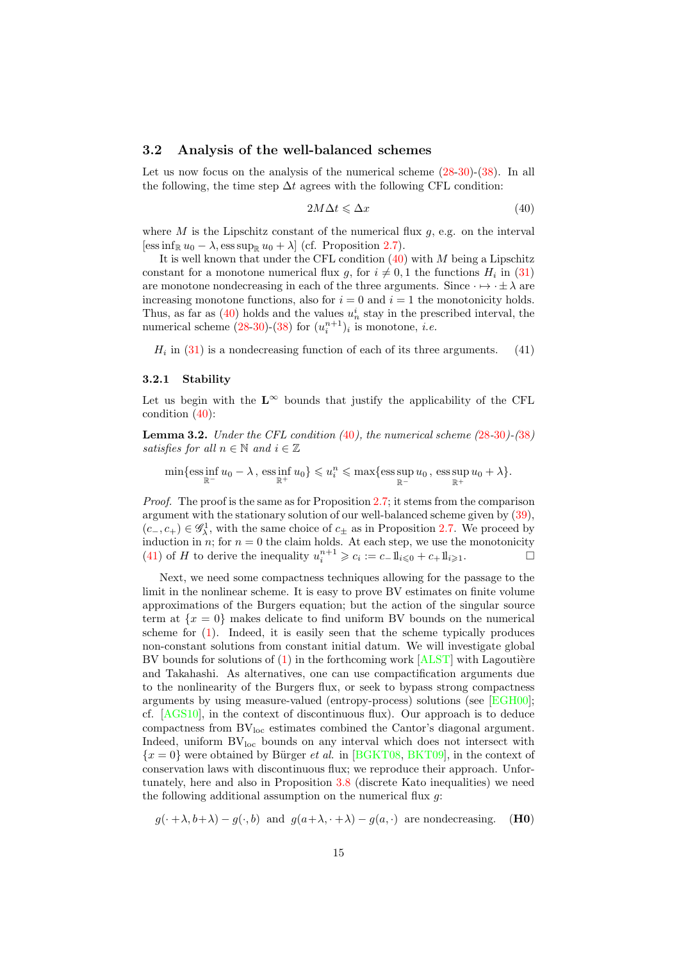#### 3.2 Analysis of the well-balanced schemes

Let us now focus on the analysis of the numerical scheme  $(28-30)-(38)$  $(28-30)-(38)$  $(28-30)-(38)$  $(28-30)-(38)$ . In all the following, the time step  $\Delta t$  agrees with the following CFL condition:

<span id="page-14-0"></span>
$$
2M\Delta t \leq \Delta x \tag{40}
$$

where M is the Lipschitz constant of the numerical flux  $q$ , e.g. on the interval  $[\text{ess}\inf_{\mathbb{R}} u_0 - \lambda, \text{ess}\sup_{\mathbb{R}} u_0 + \lambda]$  (cf. Proposition [2.7\)](#page-11-4).

It is well known that under the CFL condition  $(40)$  with M being a Lipschitz constant for a monotone numerical flux g, for  $i \neq 0, 1$  the functions  $H_i$  in [\(31\)](#page-12-5) are monotone nondecreasing in each of the three arguments. Since  $\cdot \mapsto \cdot \pm \lambda$  are increasing monotone functions, also for  $i = 0$  and  $i = 1$  the monotonicity holds. Thus, as far as  $(40)$  holds and the values  $u_n^i$  stay in the prescribed interval, the numerical scheme  $(28-30)-(38)$  $(28-30)-(38)$  $(28-30)-(38)$  $(28-30)-(38)$  for  $(u_i^{n+1})_i$  is monotone, *i.e.* 

<span id="page-14-1"></span> $H_i$  in [\(31\)](#page-12-5) is a nondecreasing function of each of its three arguments. (41)

#### 3.2.1 Stability

Let us begin with the  $\mathbf{L}^{\infty}$  bounds that justify the applicability of the CFL condition [\(40\)](#page-14-0):

<span id="page-14-3"></span>**Lemma 3.2.** Under the CFL condition  $(40)$  $(40)$  $(40)$ , the numerical scheme  $(28-30)$  $(28-30)$  $(28-30)$  $(28-30)$  $(28-30)$ - $(38)$  $(38)$  $(38)$ satisfies for all  $n \in \mathbb{N}$  and  $i \in \mathbb{Z}$ 

 $\min\{\operatorname{ess}\inf_{\mathbb{R}^+}u_0-\lambda\},\ \operatorname{ess}\inf_{\mathbb{R}^+}u_0\}\leqslant u_i^n\leqslant \max\{\operatorname{ess}\sup_{\mathbb{R}^-}u_0\,,\,\operatorname{ess}\sup_{\mathbb{R}^+}u_0+\lambda\}.$ 

Proof. The proof is the same as for Proposition [2.7;](#page-11-4) it stems from the comparison argument with the stationary solution of our well-balanced scheme given by [\(39\)](#page-13-5),  $(c_-, c_+) \in \mathscr{G}^1_\lambda$ , with the same choice of  $c_±$  as in Proposition [2.7.](#page-11-4) We proceed by induction in n; for  $n = 0$  the claim holds. At each step, we use the monotonicity [\(41\)](#page-14-1) of *H* to derive the inequality  $u_i^{n+1} \geq c_i := c_- 1 \mathbb{1}_{i \leq 0} + c_+ 1 \mathbb{1}_{i \geq 1}$ .

Next, we need some compactness techniques allowing for the passage to the limit in the nonlinear scheme. It is easy to prove BV estimates on finite volume approximations of the Burgers equation; but the action of the singular source term at  $\{x = 0\}$  makes delicate to find uniform BV bounds on the numerical scheme for [\(1\)](#page-0-0). Indeed, it is easily seen that the scheme typically produces non-constant solutions from constant initial datum. We will investigate global BV bounds for solutions of  $(1)$  in the forthcoming work  $[ALST]$  with Lagoutière and Takahashi. As alternatives, one can use compactification arguments due to the nonlinearity of the Burgers flux, or seek to bypass strong compactness arguments by using measure-valued (entropy-process) solutions (see [\[EGH00\]](#page-27-3); cf. [\[AGS10\]](#page-26-6), in the context of discontinuous flux). Our approach is to deduce compactness from  $BV<sub>loc</sub>$  estimates combined the Cantor's diagonal argument. Indeed, uniform  $BV<sub>loc</sub>$  bounds on any interval which does not intersect with  ${x = 0}$  were obtained by Bürger *et al.* in [\[BGKT08,](#page-27-4) [BKT09\]](#page-27-5), in the context of conservation laws with discontinuous flux; we reproduce their approach. Unfortunately, here and also in Proposition [3.8](#page-19-1) (discrete Kato inequalities) we need the following additional assumption on the numerical flux  $q$ :

<span id="page-14-2"></span> $q(\cdot + \lambda, b + \lambda) - q(\cdot, b)$  and  $q(a + \lambda, \cdot + \lambda) - q(a, \cdot)$  are nondecreasing. (H0)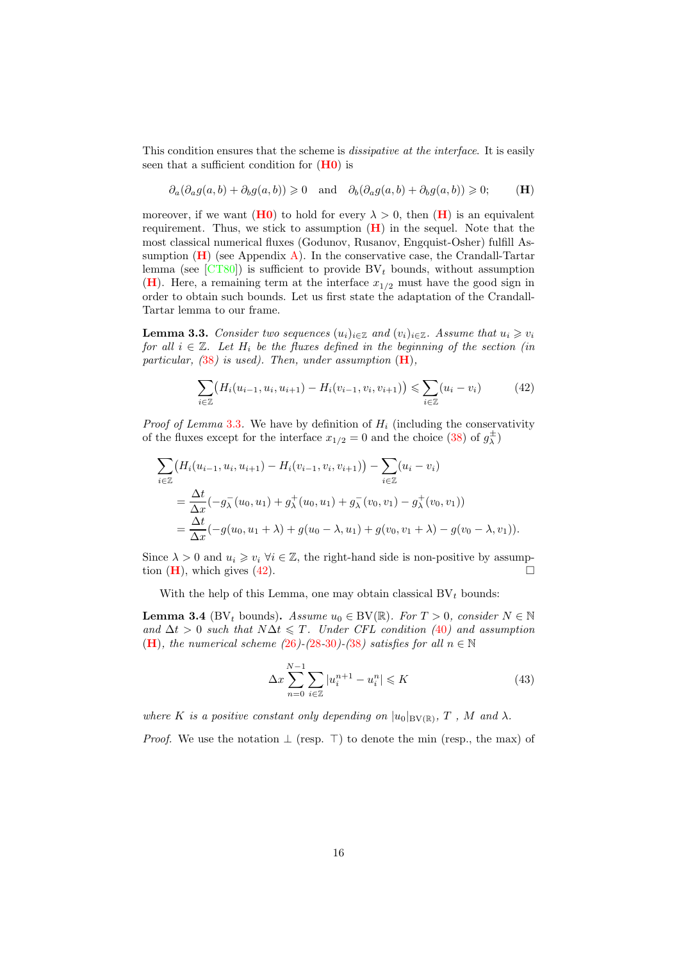This condition ensures that the scheme is *dissipative at the interface*. It is easily seen that a sufficient condition for  $(H_0)$  is

<span id="page-15-0"></span>
$$
\partial_a(\partial_a g(a,b) + \partial_b g(a,b)) \geq 0 \quad \text{and} \quad \partial_b(\partial_a g(a,b) + \partial_b g(a,b)) \geq 0; \tag{H}
$$

moreover, if we want ([H0](#page-14-2)) to hold for every  $\lambda > 0$ , then ([H](#page-15-0)) is an equivalent requirement. Thus, we stick to assumption  $(H)$  $(H)$  $(H)$  in the sequel. Note that the most classical numerical fluxes (Godunov, Rusanov, Engquist-Osher) fulfill Assumption  $(H)$  $(H)$  $(H)$  (see Appendix [A\)](#page-23-0). In the conservative case, the Crandall-Tartar lemma (see  $\left[{\rm CT80}\right]$ ) is sufficient to provide BV<sub>t</sub> bounds, without assumption  $(H)$  $(H)$  $(H)$ . Here, a remaining term at the interface  $x_{1/2}$  must have the good sign in order to obtain such bounds. Let us first state the adaptation of the Crandall-Tartar lemma to our frame.

<span id="page-15-1"></span>**Lemma 3.3.** Consider two sequences  $(u_i)_{i \in \mathbb{Z}}$  and  $(v_i)_{i \in \mathbb{Z}}$ . Assume that  $u_i \geq v_i$ for all  $i \in \mathbb{Z}$ . Let  $H_i$  be the fluxes defined in the beginning of the section (in particular,  $(38)$  $(38)$  $(38)$  is used). Then, under assumption  $(H)$  $(H)$  $(H)$ ,

<span id="page-15-2"></span>
$$
\sum_{i \in \mathbb{Z}} \left( H_i(u_{i-1}, u_i, u_{i+1}) - H_i(v_{i-1}, v_i, v_{i+1}) \right) \leq \sum_{i \in \mathbb{Z}} (u_i - v_i) \tag{42}
$$

*Proof of Lemma* [3.3](#page-15-1). We have by definition of  $H_i$  (including the conservativity of the fluxes except for the interface  $x_{1/2} = 0$  and the choice  $(38)$  of  $g_{\lambda}^{\pm}$ )

$$
\sum_{i \in \mathbb{Z}} \left( H_i(u_{i-1}, u_i, u_{i+1}) - H_i(v_{i-1}, v_i, v_{i+1}) \right) - \sum_{i \in \mathbb{Z}} (u_i - v_i)
$$
\n
$$
= \frac{\Delta t}{\Delta x} (-g_\lambda^-(u_0, u_1) + g_\lambda^+(u_0, u_1) + g_\lambda^-(v_0, v_1) - g_\lambda^+(v_0, v_1))
$$
\n
$$
= \frac{\Delta t}{\Delta x} (-g(u_0, u_1 + \lambda) + g(u_0 - \lambda, u_1) + g(v_0, v_1 + \lambda) - g(v_0 - \lambda, v_1)).
$$

Since  $\lambda > 0$  and  $u_i \geq v_i \ \forall i \in \mathbb{Z}$ , the right-hand side is non-positive by assumption  $(H)$  $(H)$  $(H)$ , which gives  $(42)$ .

With the help of this Lemma, one may obtain classical  $BV<sub>t</sub>$  bounds:

<span id="page-15-3"></span>**Lemma 3.4** (BV<sub>t</sub> bounds). Assume  $u_0 \in BV(\mathbb{R})$ . For  $T > 0$ , consider  $N \in \mathbb{N}$ and  $\Delta t > 0$  such that  $N\Delta t \leq T$ . Under CFL condition ([40](#page-14-0)) and assumption ([H](#page-15-0)), the numerical scheme ([26](#page-12-1))-([28](#page-12-2)-[30](#page-12-4))-([38](#page-13-3)) satisfies for all  $n \in \mathbb{N}$ 

$$
\Delta x \sum_{n=0}^{N-1} \sum_{i \in \mathbb{Z}} |u_i^{n+1} - u_i^n| \leqslant K \tag{43}
$$

where K is a positive constant only depending on  $|u_0|_{BV(\mathbb{R})}$ , T, M and  $\lambda$ .

*Proof.* We use the notation  $\perp$  (resp.  $\perp$ ) to denote the min (resp., the max) of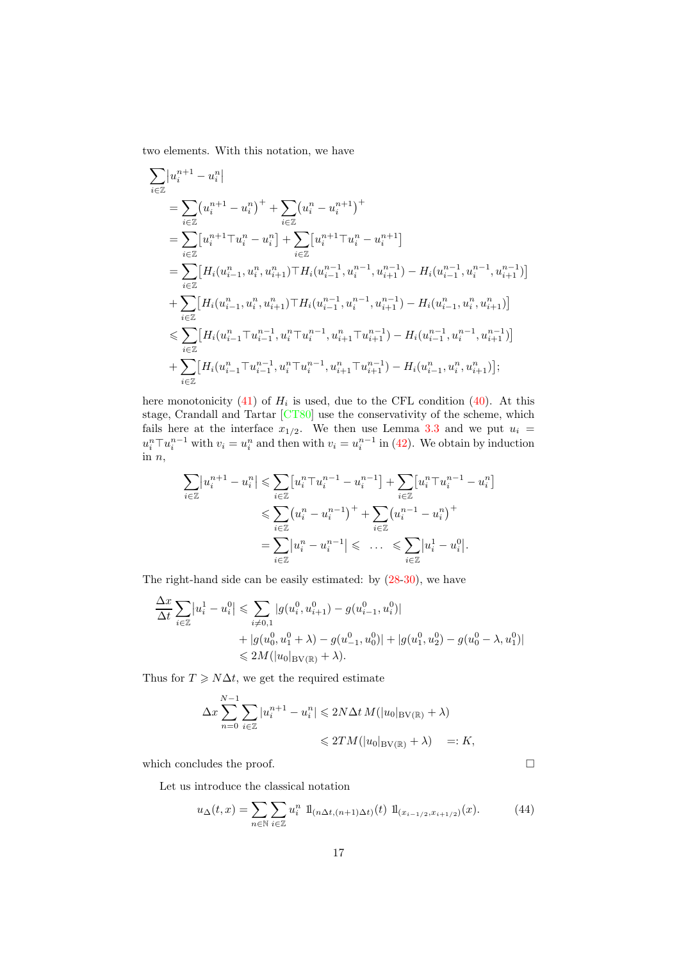two elements. With this notation, we have

$$
\begin{split} &\sum_{i\in\mathbb{Z}}\bigl|u_i^{n+1}-u_i^n\bigr|\\ &=\sum_{i\in\mathbb{Z}}\bigl(u_i^{n+1}-u_i^n\bigr)^++\sum_{i\in\mathbb{Z}}\bigl(u_i^n-u_i^{n+1}\bigr)^+\\ &=\sum_{i\in\mathbb{Z}}\bigl[u_i^{n+1}\top u_i^n-u_i^n\bigr]+\sum_{i\in\mathbb{Z}}\bigl[u_i^{n+1}\top u_i^n-u_i^{n+1}\bigr]\\ &=\sum_{i\in\mathbb{Z}}\bigl[H_i(u_{i-1}^n,u_i^n,u_{i+1}^n)\top H_i(u_{i-1}^{n-1},u_i^{n-1},u_{i+1}^{n-1})-H_i(u_{i-1}^{n-1},u_i^{n-1},u_{i+1}^{n-1})\bigr]\\ &+\sum_{i\in\mathbb{Z}}\bigl[H_i(u_{i-1}^n,u_i^n,u_{i+1}^n)\top H_i(u_{i-1}^{n-1},u_i^{n-1},u_{i+1}^{n-1})-H_i(u_{i-1}^n,u_i^n,u_{i+1}^n)\bigr]\\ &\leqslant \sum_{i\in\mathbb{Z}}\bigl[H_i(u_{i-1}^n\top u_{i-1}^{n-1},u_i^n\top u_i^{n-1},u_{i+1}^n\top u_{i+1}^{n-1})-H_i(u_{i-1}^{n-1},u_i^{n-1},u_{i+1}^{n-1})\bigr]\\ &+\sum_{i\in\mathbb{Z}}\bigl[H_i(u_{i-1}^n\top u_{i-1}^{n-1},u_i^n\top u_i^{n-1},u_{i+1}^n\top u_{i+1}^{n-1})-H_i(u_{i-1}^n,u_i^n,u_{i+1}^n)\bigr]; \end{split}
$$

here monotonicity [\(41\)](#page-14-1) of  $H_i$  is used, due to the CFL condition [\(40\)](#page-14-0). At this stage, Crandall and Tartar [\[CT80\]](#page-27-13) use the conservativity of the scheme, which fails here at the interface  $x_{1/2}$ . We then use Lemma [3.3](#page-15-1) and we put  $u_i =$  $u_i^n \top u_i^{n-1}$  with  $v_i = u_i^n$  and then with  $v_i = u_i^{n-1}$  in [\(42\)](#page-15-2). We obtain by induction in  $n$ ,

$$
\sum_{i \in \mathbb{Z}} |u_i^{n+1} - u_i^n| \leqslant \sum_{i \in \mathbb{Z}} \left[u_i^{n+1} - u_i^{n-1}\right] + \sum_{i \in \mathbb{Z}} \left[u_i^{n+1} - u_i^{n-1}\right] \n\leqslant \sum_{i \in \mathbb{Z}} \left(u_i^{n-1} - u_i^{n-1}\right)^{n+1} + \sum_{i \in \mathbb{Z}} \left(u_i^{n-1} - u_i^{n-1}\right)^{n+1} \n= \sum_{i \in \mathbb{Z}} |u_i^{n-1} - u_i^{n-1}| \leqslant \dots \leqslant \sum_{i \in \mathbb{Z}} |u_i^{1} - u_i^{0}|.
$$

The right-hand side can be easily estimated: by [\(28-](#page-12-2)[30\)](#page-12-4), we have

$$
\frac{\Delta x}{\Delta t} \sum_{i \in \mathbb{Z}} |u_i^1 - u_i^0| \leq \sum_{i \neq 0,1} |g(u_i^0, u_{i+1}^0) - g(u_{i-1}^0, u_i^0)| \n+ |g(u_0^0, u_1^0 + \lambda) - g(u_{-1}^0, u_0^0)| + |g(u_1^0, u_2^0) - g(u_0^0 - \lambda, u_1^0)| \n\leq 2M(|u_0|_{\text{BV}(\mathbb{R})} + \lambda).
$$

Thus for  $T \geq N\Delta t$ , we get the required estimate

$$
\Delta x \sum_{n=0}^{N-1} \sum_{i \in \mathbb{Z}} |u_i^{n+1} - u_i^n| \leq 2N \Delta t M(|u_0|_{BV(\mathbb{R})} + \lambda)
$$
  

$$
\leq 2TM(|u_0|_{BV(\mathbb{R})} + \lambda) =: K,
$$

which concludes the proof.  $\hfill \square$ 

Let us introduce the classical notation

$$
u_{\Delta}(t,x) = \sum_{n \in \mathbb{N}} \sum_{i \in \mathbb{Z}} u_i^n \, \, \mathbb{1}_{(n \Delta t, (n+1)\Delta t)}(t) \, \, \mathbb{1}_{(x_{i-1/2}, x_{i+1/2})}(x). \tag{44}
$$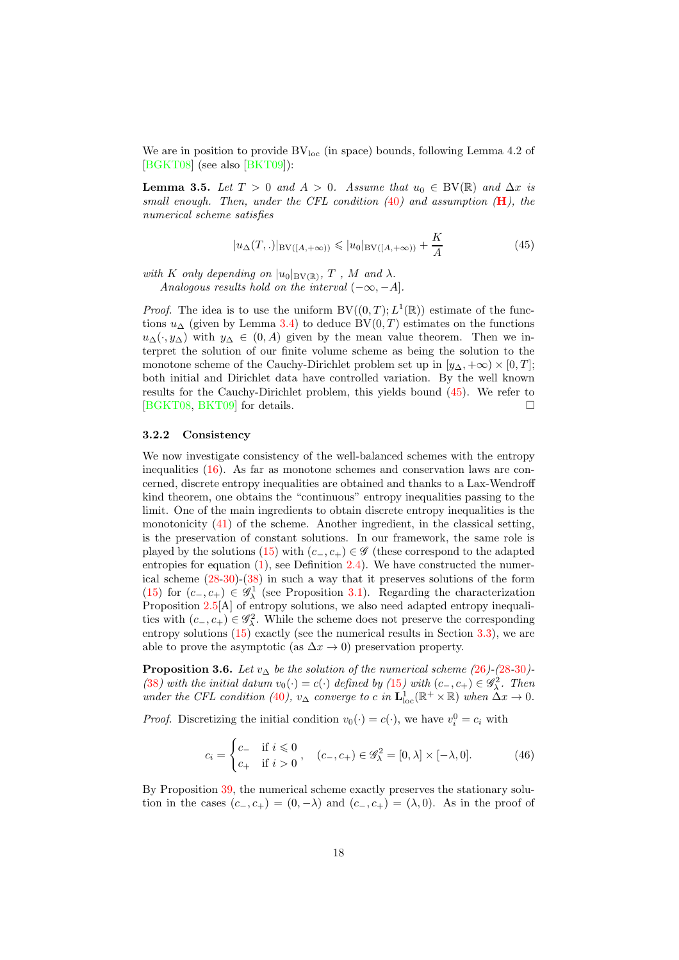We are in position to provide  $BV<sub>loc</sub>$  (in space) bounds, following Lemma 4.2 of [\[BGKT08\]](#page-27-4) (see also [\[BKT09\]](#page-27-5)):

<span id="page-17-2"></span>**Lemma 3.5.** Let  $T > 0$  and  $A > 0$ . Assume that  $u_0 \in BV(\mathbb{R})$  and  $\Delta x$  is small enough. Then, under the CFL condition  $(40)$  $(40)$  $(40)$  and assumption  $(H)$  $(H)$  $(H)$ , the numerical scheme satisfies

<span id="page-17-1"></span>
$$
|u_{\Delta}(T,.)|_{BV([A,+\infty))} \leq |u_0|_{BV([A,+\infty))} + \frac{K}{A}
$$
 (45)

with K only depending on  $|u_0|_{BV(\mathbb{R})}$ , T, M and  $\lambda$ . Analogous results hold on the interval  $(-\infty, -A]$ .

*Proof.* The idea is to use the uniform  $BV((0,T); L^1(\mathbb{R}))$  estimate of the functions  $u_{\Delta}$  (given by Lemma [3.4\)](#page-15-3) to deduce BV $(0, T)$  estimates on the functions  $u_{\Delta}(\cdot, y_{\Delta})$  with  $y_{\Delta} \in (0, A)$  given by the mean value theorem. Then we interpret the solution of our finite volume scheme as being the solution to the monotone scheme of the Cauchy-Dirichlet problem set up in  $[y_\Delta, +\infty) \times [0, T]$ ; both initial and Dirichlet data have controlled variation. By the well known results for the Cauchy-Dirichlet problem, this yields bound [\(45\)](#page-17-1). We refer to [\[BGKT08,](#page-27-4) [BKT09\]](#page-27-5) for details.

#### <span id="page-17-0"></span>3.2.2 Consistency

We now investigate consistency of the well-balanced schemes with the entropy inequalities [\(16\)](#page-8-1). As far as monotone schemes and conservation laws are concerned, discrete entropy inequalities are obtained and thanks to a Lax-Wendroff kind theorem, one obtains the "continuous" entropy inequalities passing to the limit. One of the main ingredients to obtain discrete entropy inequalities is the monotonicity [\(41\)](#page-14-1) of the scheme. Another ingredient, in the classical setting, is the preservation of constant solutions. In our framework, the same role is played by the solutions [\(15\)](#page-8-0) with  $(c_-, c_+) \in \mathscr{G}$  (these correspond to the adapted entropies for equation  $(1)$ , see Definition [2.4\)](#page-8-2). We have constructed the numerical scheme [\(28](#page-12-2)[-30\)](#page-12-4)-[\(38\)](#page-13-3) in such a way that it preserves solutions of the form [\(15\)](#page-8-0) for  $(c_-, c_+) \in \mathscr{G}^1_\lambda$  (see Proposition [3.1\)](#page-13-4). Regarding the characterization Proposition [2.5\[](#page-8-5)A] of entropy solutions, we also need adapted entropy inequalities with  $(c_-, c_+) \in \mathscr{G}_\lambda^2$ . While the scheme does not preserve the corresponding entropy solutions [\(15\)](#page-8-0) exactly (see the numerical results in Section [3.3\)](#page-20-1), we are able to prove the asymptotic (as  $\Delta x \to 0$ ) preservation property.

<span id="page-17-3"></span>**Proposition 3.6.** Let  $v_{\Delta}$  be the solution of the numerical scheme ([26](#page-12-1))-([28](#page-12-2)-[30](#page-12-4))-([38](#page-13-3)) with the initial datum  $v_0(\cdot) = c(\cdot)$  defined by ([15](#page-8-0)) with  $(c_-, c_+) \in \mathscr{G}_\lambda^2$ . Then under the CFL condition ([40](#page-14-0)),  $v_{\Delta}$  converge to c in  $\mathbf{L}_{\text{loc}}^1(\mathbb{R}^+ \times \mathbb{R})$  when  $\hat{\Delta}x \to 0$ .

*Proof.* Discretizing the initial condition  $v_0(\cdot) = c(\cdot)$ , we have  $v_i^0 = c_i$  with

$$
c_i = \begin{cases} c_- & \text{if } i \leq 0 \\ c_+ & \text{if } i > 0 \end{cases}, \quad (c_-, c_+) \in \mathscr{G}_\lambda^2 = [0, \lambda] \times [-\lambda, 0]. \tag{46}
$$

By Proposition [39,](#page-13-5) the numerical scheme exactly preserves the stationary solution in the cases  $(c_-, c_+) = (0, -\lambda)$  and  $(c_-, c_+) = (\lambda, 0)$ . As in the proof of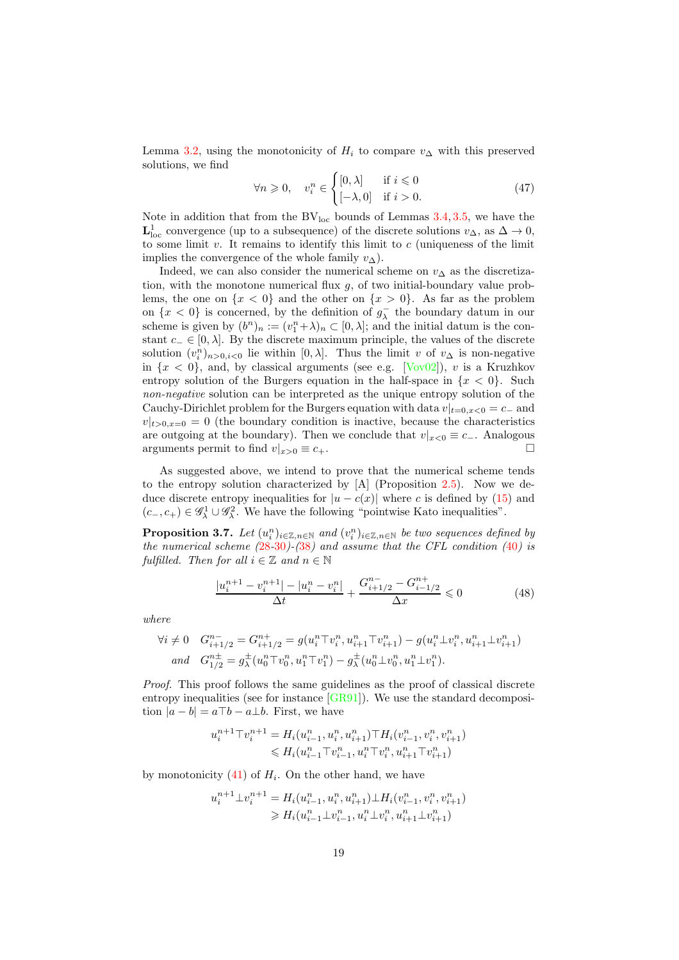Lemma [3.2,](#page-14-3) using the monotonicity of  $H_i$  to compare  $v_\Delta$  with this preserved solutions, we find

<span id="page-18-2"></span>
$$
\forall n \geqslant 0, \quad v_i^n \in \begin{cases} [0, \lambda] & \text{if } i \leqslant 0 \\ [-\lambda, 0] & \text{if } i > 0. \end{cases} \tag{47}
$$

Note in addition that from the  $BV_{loc}$  bounds of Lemmas [3.4,](#page-15-3) [3.5,](#page-17-2) we have the  $L^1_{loc}$  convergence (up to a subsequence) of the discrete solutions  $v_\Delta$ , as  $\Delta \to 0$ , to some limit  $v$ . It remains to identify this limit to  $c$  (uniqueness of the limit implies the convergence of the whole family  $v_{\Delta}$ ).

Indeed, we can also consider the numerical scheme on  $v_{\Delta}$  as the discretization, with the monotone numerical flux  $q$ , of two initial-boundary value problems, the one on  $\{x < 0\}$  and the other on  $\{x > 0\}$ . As far as the problem on  $\{x < 0\}$  is concerned, by the definition of  $g_{\lambda}^-$  the boundary datum in our scheme is given by  $(b^n)_n := (v_1^n + \lambda)_n \subset [0, \lambda]$ ; and the initial datum is the constant  $c_ - \in [0, \lambda]$ . By the discrete maximum principle, the values of the discrete solution  $(v_i^n)_{n>0,i<0}$  lie within  $[0,\lambda]$ . Thus the limit v of  $v_{\Delta}$  is non-negative in  $\{x < 0\}$ , and, by classical arguments (see e.g. [\[Vov02\]](#page-29-1)), v is a Kruzhkov entropy solution of the Burgers equation in the half-space in  $\{x < 0\}$ . Such non-negative solution can be interpreted as the unique entropy solution of the Cauchy-Dirichlet problem for the Burgers equation with data  $v|_{t=0, x<0} = c_-\$  and  $v|_{t>0,x=0} = 0$  (the boundary condition is inactive, because the characteristics are outgoing at the boundary). Then we conclude that  $v|_{x<0} \equiv c_-\$ . Analogous arguments permit to find  $v|_{x>0} \equiv c_+$ .

As suggested above, we intend to prove that the numerical scheme tends to the entropy solution characterized by [A] (Proposition [2.5\)](#page-8-5). Now we deduce discrete entropy inequalities for  $|u - c(x)|$  where c is defined by [\(15\)](#page-8-0) and  $(c_-, c_+) \in \mathscr{G}_\lambda^1 \cup \mathscr{G}_\lambda^2$ . We have the following "pointwise Kato inequalities".

<span id="page-18-1"></span>**Proposition 3.7.** Let  $(u_i^n)_{i\in\mathbb{Z},n\in\mathbb{N}}$  and  $(v_i^n)_{i\in\mathbb{Z},n\in\mathbb{N}}$  be two sequences defined by the numerical scheme  $(28-30)-(38)$  $(28-30)-(38)$  $(28-30)-(38)$  $(28-30)-(38)$  $(28-30)-(38)$  $(28-30)-(38)$  $(28-30)-(38)$  and assume that the CFL condition  $(40)$  $(40)$  $(40)$  is fulfilled. Then for all  $i \in \mathbb{Z}$  and  $n \in \mathbb{N}$ 

<span id="page-18-0"></span>
$$
\frac{|u_i^{n+1} - v_i^{n+1}| - |u_i^n - v_i^n|}{\Delta t} + \frac{G_{i+1/2}^{n-1} - G_{i-1/2}^{n+1}}{\Delta x} \le 0
$$
\n(48)

where

$$
\forall i \neq 0 \quad G_{i+1/2}^{n-} = G_{i+1/2}^{n+} = g(u_i^n \top v_i^n, u_{i+1}^n \top v_{i+1}^n) - g(u_i^n \bot v_i^n, u_{i+1}^n \bot v_{i+1}^n)
$$
  
and 
$$
G_{1/2}^{n\pm} = g_\lambda^{\pm}(u_0^n \top v_0^n, u_1^n \top v_1^n) - g_\lambda^{\pm}(u_0^n \bot v_0^n, u_1^n \bot v_1^n).
$$

Proof. This proof follows the same guidelines as the proof of classical discrete entropy inequalities (see for instance  $[GR91]$ ). We use the standard decomposition  $|a - b| = a \top b - a \bot b$ . First, we have

$$
u_i^{n+1} \top v_i^{n+1} = H_i(u_{i-1}^n, u_i^n, u_{i+1}^n) \top H_i(v_{i-1}^n, v_i^n, v_{i+1}^n) \leq H_i(u_{i-1}^n \top v_{i-1}^n, u_i^n \top v_i^n, u_{i+1}^n \top v_{i+1}^n)
$$

by monotonicity  $(41)$  of  $H_i$ . On the other hand, we have

$$
u_i^{n+1} \perp v_i^{n+1} = H_i(u_{i-1}^n, u_i^n, u_{i+1}^n) \perp H_i(v_{i-1}^n, v_i^n, v_{i+1}^n)
$$
  
\n
$$
\geq H_i(u_{i-1}^n \perp v_{i-1}^n, u_i^n \perp v_i^n, u_{i+1}^n \perp v_{i+1}^n)
$$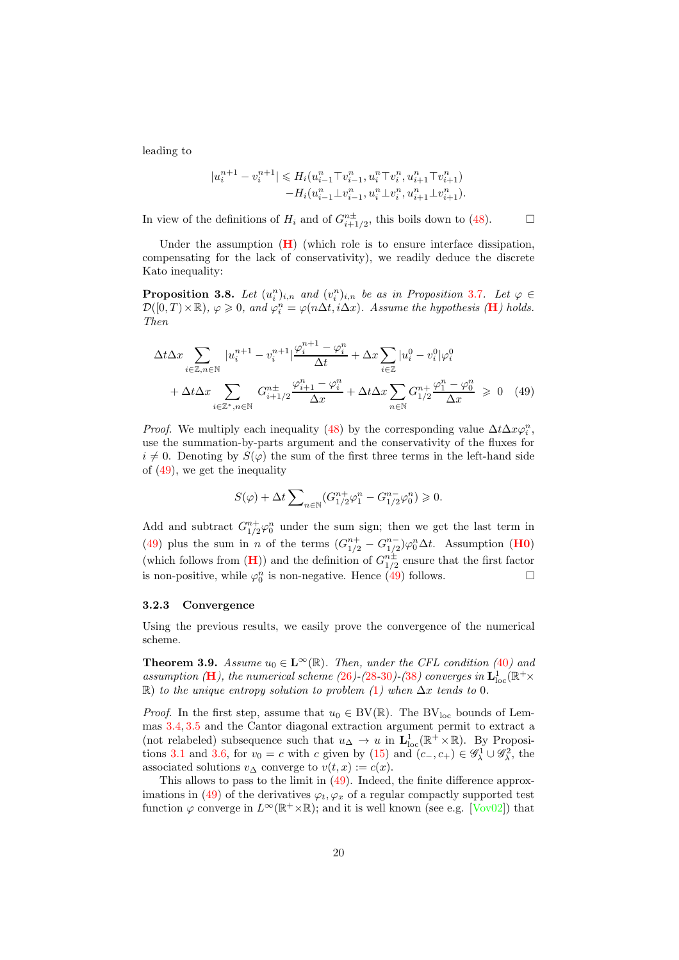leading to

$$
\begin{aligned} |u_i^{n+1}-v_i^{n+1}| \leqslant H_i(u_{i-1}^n \top v_{i-1}^n, u_i^n \top v_i^n, u_{i+1}^n \top v_{i+1}^n) \\ -H_i(u_{i-1}^n \bot v_{i-1}^n, u_i^n \bot v_i^n, u_{i+1}^n \bot v_{i+1}^n). \end{aligned}
$$

In view of the definitions of  $H_i$  and of  $G_{i+1/2}^{n\pm}$ , this boils down to [\(48\)](#page-18-0).

Under the assumption  $(H)$  $(H)$  $(H)$  (which role is to ensure interface dissipation, compensating for the lack of conservativity), we readily deduce the discrete Kato inequality:

<span id="page-19-1"></span>**Proposition 3.8.** Let  $(u_i^n)_{i,n}$  and  $(v_i^n)_{i,n}$  be as in Proposition [3.7](#page-18-1). Let  $\varphi \in$  $\mathcal{D}([0,T)\times\mathbb{R})$ ,  $\varphi \geqslant 0$ , and  $\varphi_i^n = \varphi(n\Delta t, i\Delta x)$ . Assume the hypothesis (**[H](#page-15-0)**) holds. Then

$$
\Delta t \Delta x \sum_{i \in \mathbb{Z}, n \in \mathbb{N}} |u_i^{n+1} - v_i^{n+1}| \frac{\varphi_i^{n+1} - \varphi_i^n}{\Delta t} + \Delta x \sum_{i \in \mathbb{Z}} |u_i^0 - v_i^0| \varphi_i^0
$$
  
+ 
$$
\Delta t \Delta x \sum_{i \in \mathbb{Z}^*, n \in \mathbb{N}} G_{i+1/2}^{n+1} \frac{\varphi_{i+1}^n - \varphi_i^n}{\Delta x} + \Delta t \Delta x \sum_{n \in \mathbb{N}} G_{1/2}^{n+1} \frac{\varphi_1^n - \varphi_0^n}{\Delta x} \ge 0 \quad (49)
$$

*Proof.* We multiply each inequality [\(48\)](#page-18-0) by the corresponding value  $\Delta t \Delta x \varphi_i^n$ , use the summation-by-parts argument and the conservativity of the fluxes for  $i \neq 0$ . Denoting by  $S(\varphi)$  the sum of the first three terms in the left-hand side of [\(49\)](#page-19-2), we get the inequality

<span id="page-19-2"></span>
$$
S(\varphi)+\Delta t \sum\nolimits_{n \in \mathbb{N}} (G_{1/2}^{n+} \varphi_1^n - G_{1/2}^{n-} \varphi_0^n) \geqslant 0.
$$

Add and subtract  $G_{1/2}^{n+} \varphi_0^n$  under the sum sign; then we get the last term in [\(49\)](#page-19-2) plus the sum in *n* of the terms  $(G_{1/2}^{n+} - G_{1/2}^{n-})\varphi_0^n \Delta t$ . Assumption (**[H0](#page-14-2)**) (which follows from  $(\mathbf{H})$  $(\mathbf{H})$  $(\mathbf{H})$ ) and the definition of  $G_{1/2}^{n\pm}$  ensure that the first factor is non-positive, while  $\varphi_0^n$  is non-negative. Hence [\(49\)](#page-19-2) follows.

#### 3.2.3 Convergence

Using the previous results, we easily prove the convergence of the numerical scheme.

<span id="page-19-0"></span>**Theorem 3.9.** Assume  $u_0 \in \mathbf{L}^{\infty}(\mathbb{R})$ . Then, under the CFL condition ([40](#page-14-0)) and assumption ([H](#page-15-0)), the numerical scheme ([26](#page-12-1))-([28](#page-12-2)-[30](#page-12-4))-([38](#page-13-3)) converges in  $\mathbf{L}_\text{loc}^1(\mathbb{R}^+\times$  $\mathbb{R}$ ) to the unique entropy solution to problem ([1](#page-0-0)) when  $\Delta x$  tends to 0.

*Proof.* In the first step, assume that  $u_0 \in BV(\mathbb{R})$ . The BV<sub>loc</sub> bounds of Lemmas [3.4,](#page-15-3) [3.5](#page-17-2) and the Cantor diagonal extraction argument permit to extract a (not relabeled) subsequence such that  $u_{\Delta} \to u$  in  $\mathbf{L}^1_{\text{loc}}(\mathbb{R}^+ \times \mathbb{R})$ . By Proposi-tions [3.1](#page-13-4) and [3.6,](#page-17-3) for  $v_0 = c$  with c given by [\(15\)](#page-8-0) and  $(c_-, c_+) \in \mathscr{G}_\lambda^1 \cup \mathscr{G}_\lambda^2$ , the associated solutions  $v_{\Delta}$  converge to  $v(t, x) := c(x)$ .

This allows to pass to the limit in [\(49\)](#page-19-2). Indeed, the finite difference approx-imations in [\(49\)](#page-19-2) of the derivatives  $\varphi_t, \varphi_x$  of a regular compactly supported test function  $\varphi$  converge in  $L^{\infty}(\mathbb{R}^+\times\mathbb{R})$ ; and it is well known (see e.g. [\[Vov02\]](#page-29-1)) that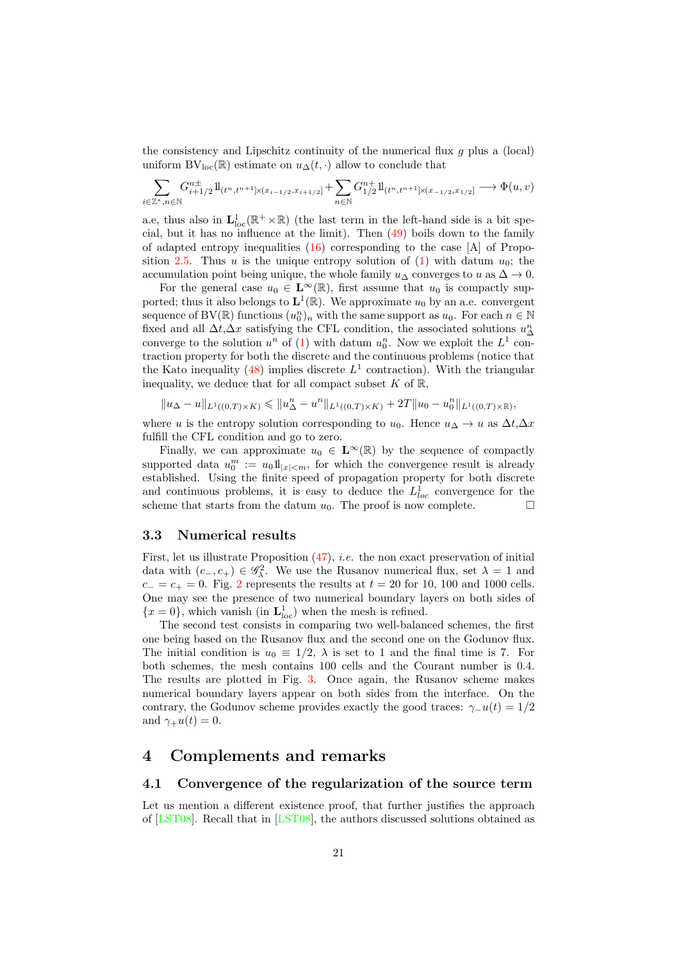the consistency and Lipschitz continuity of the numerical flux  $g$  plus a (local) uniform  $BV_{loc}(\mathbb{R})$  estimate on  $u_{\Delta}(t, \cdot)$  allow to conclude that

$$
\sum_{i\in\mathbb{Z}^*,n\in\mathbb{N}} G^{n\pm}_{i+1/2}1\!\!1_{(t^n,t^{n+1}]\times(x_{i-1/2},x_{i+1/2}]} + \sum_{n\in\mathbb{N}} G^{n+}_{1/2}1\!\!1_{(t^n,t^{n+1}]\times(x_{-1/2},x_{1/2}]} \longrightarrow \Phi(u,v)
$$

a.e, thus also in  $\mathbf{L}^1_{\text{loc}}(\mathbb{R}^+\times\mathbb{R})$  (the last term in the left-hand side is a bit special, but it has no influence at the limit). Then [\(49\)](#page-19-2) boils down to the family of adapted entropy inequalities  $(16)$  corresponding to the case [A] of Propo-sition [2.5.](#page-8-5) Thus u is the unique entropy solution of  $(1)$  with datum  $u_0$ ; the accumulation point being unique, the whole family  $u_{\Delta}$  converges to u as  $\Delta \rightarrow 0$ .

For the general case  $u_0 \in \mathbf{L}^{\infty}(\mathbb{R})$ , first assume that  $u_0$  is compactly supported; thus it also belongs to  $\mathbf{L}^1(\mathbb{R})$ . We approximate  $u_0$  by an a.e. convergent sequence of BV( $\mathbb{R}$ ) functions  $(u_0^n)_n$  with the same support as  $u_0$ . For each  $n \in \mathbb{N}$ fixed and all  $\Delta t, \Delta x$  satisfying the CFL condition, the associated solutions  $u_{\Delta}^n$ converge to the solution  $u^n$  of [\(1\)](#page-0-0) with datum  $u_0^n$ . Now we exploit the  $L^1$  contraction property for both the discrete and the continuous problems (notice that the Kato inequality  $(48)$  implies discrete  $L<sup>1</sup>$  contraction). With the triangular inequality, we deduce that for all compact subset  $K$  of  $\mathbb{R}$ ,

$$
\|u_\Delta-u\|_{L^1((0,T)\times K)}\leqslant \|u_\Delta^n-u^n\|_{L^1((0,T)\times K)}+2T\|u_0-u_0^n\|_{L^1((0,T)\times \mathbb{R})},
$$

where u is the entropy solution corresponding to  $u_0$ . Hence  $u_\Delta \to u$  as  $\Delta t, \Delta x$ fulfill the CFL condition and go to zero.

Finally, we can approximate  $u_0 \in \mathbf{L}^{\infty}(\mathbb{R})$  by the sequence of compactly supported data  $u_0^m := u_0 1\!\!\!\perp_{|x|< m}$ , for which the convergence result is already established. Using the finite speed of propagation property for both discrete and continuous problems, it is easy to deduce the  $L^1_{loc}$  convergence for the scheme that starts from the datum  $u_0$ . The proof is now complete.

#### <span id="page-20-1"></span>3.3 Numerical results

First, let us illustrate Proposition  $(47)$ , *i.e.* the non exact preservation of initial data with  $(c_-, c_+) \in \mathscr{G}_\lambda^2$ . We use the Rusanov numerical flux, set  $\lambda = 1$  and  $c_-=c_+=0$ . Fig. [2](#page-21-0) represents the results at  $t=20$  for 10, 100 and 1000 cells. One may see the presence of two numerical boundary layers on both sides of  ${x = 0}$ , which vanish (in  $\mathbf{L}^1_{loc}$ ) when the mesh is refined.

The second test consists in comparing two well-balanced schemes, the first one being based on the Rusanov flux and the second one on the Godunov flux. The initial condition is  $u_0 \equiv 1/2$ ,  $\lambda$  is set to 1 and the final time is 7. For both schemes, the mesh contains 100 cells and the Courant number is 0.4. The results are plotted in Fig. [3.](#page-21-1) Once again, the Rusanov scheme makes numerical boundary layers appear on both sides from the interface. On the contrary, the Godunov scheme provides exactly the good traces:  $\gamma_1(u(t)) = 1/2$ and  $\gamma_+u(t)=0$ .

## <span id="page-20-0"></span>4 Complements and remarks

#### 4.1 Convergence of the regularization of the source term

Let us mention a different existence proof, that further justifies the approach of [\[LST08\]](#page-28-0). Recall that in [\[LST08\]](#page-28-0), the authors discussed solutions obtained as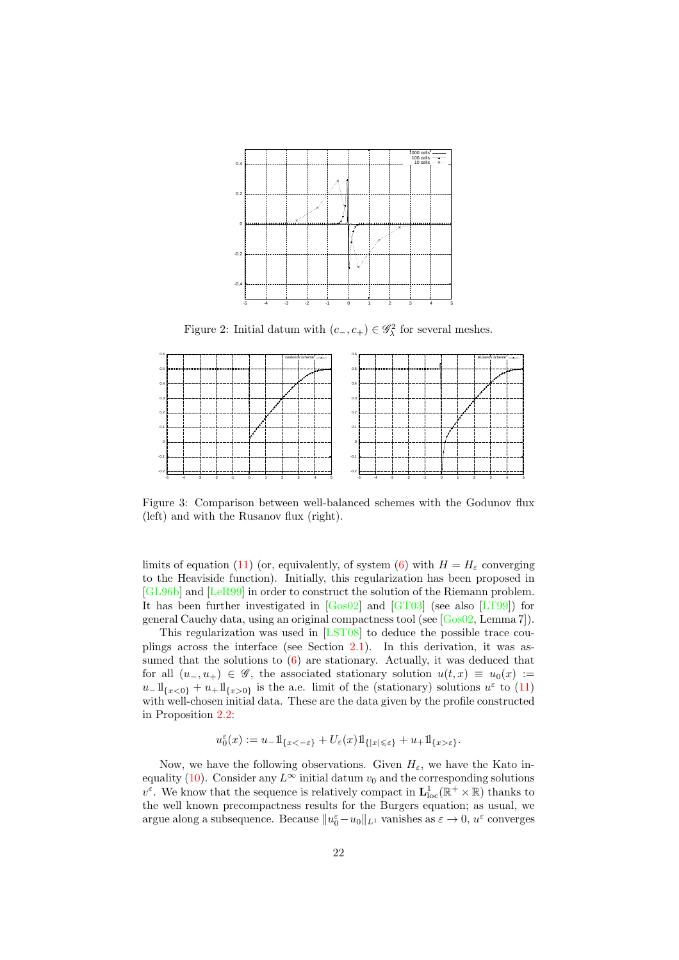

<span id="page-21-0"></span>Figure 2: Initial datum with  $(c_-, c_+) \in \mathscr{G}_\lambda^2$  for several meshes.



<span id="page-21-1"></span>Figure 3: Comparison between well-balanced schemes with the Godunov flux (left) and with the Rusanov flux (right).

limits of equation [\(11\)](#page-6-0) (or, equivalently, of system [\(6\)](#page-2-0) with  $H = H_{\varepsilon}$  converging to the Heaviside function). Initially, this regularization has been proposed in [\[GL96b\]](#page-27-0) and [\[LeR99\]](#page-28-1) in order to construct the solution of the Riemann problem. It has been further investigated in  $[Gos02]$  and  $[GT03]$  (see also  $[IT99]$ ) for general Cauchy data, using an original compactness tool (see [\[Gos02,](#page-28-4) Lemma 7]).

This regularization was used in [\[LST08\]](#page-28-0) to deduce the possible trace couplings across the interface (see Section [2.1\)](#page-3-1). In this derivation, it was assumed that the solutions to  $(6)$  are stationary. Actually, it was deduced that for all  $(u_-, u_+) \in \mathscr{G}$ , the associated stationary solution  $u(t, x) \equiv u_0(x) :=$  $u_-\mathrm{1}_{\{x<0\}}+u_+\mathrm{1}_{\{x>0\}}$  is the a.e. limit of the (stationary) solutions  $u^{\varepsilon}$  to [\(11\)](#page-6-0) with well-chosen initial data. These are the data given by the profile constructed in Proposition [2.2:](#page-5-0)

$$
u_0^\varepsilon(x):=u_-1\!\mathrm{l}_{\{x<-\varepsilon\}}+U_\varepsilon(x)1\!\mathrm{l}_{\{|x|\leqslant\varepsilon\}}+u_+1\!\mathrm{l}_{\{x>\varepsilon\}}.
$$

Now, we have the following observations. Given  $H_{\varepsilon}$ , we have the Kato in-equality [\(10\)](#page-6-4). Consider any  $L^{\infty}$  initial datum  $v_0$  and the corresponding solutions  $v^{\varepsilon}$ . We know that the sequence is relatively compact in  $\mathbf{L}_\text{loc}^1(\mathbb{R}^+\times\mathbb{R})$  thanks to the well known precompactness results for the Burgers equation; as usual, we argue along a subsequence. Because  $||u_0^{\varepsilon} - u_0||_{L^1}$  vanishes as  $\varepsilon \to 0$ ,  $u^{\varepsilon}$  converges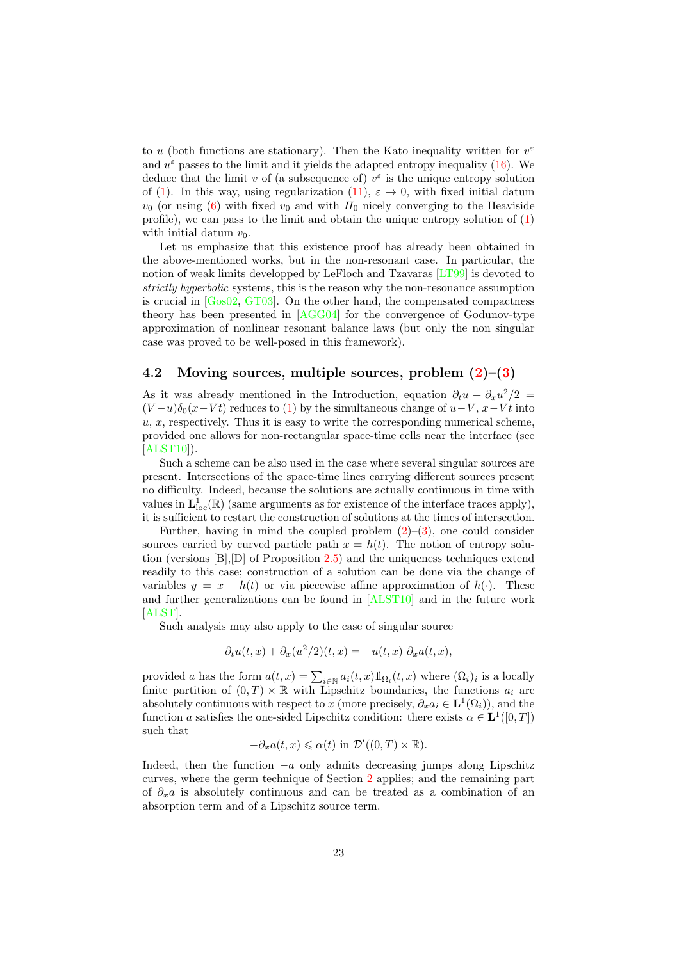to u (both functions are stationary). Then the Kato inequality written for  $v^{\varepsilon}$ and  $u^{\varepsilon}$  passes to the limit and it yields the adapted entropy inequality [\(16\)](#page-8-1). We deduce that the limit v of (a subsequence of)  $v^{\varepsilon}$  is the unique entropy solution of [\(1\)](#page-0-0). In this way, using regularization [\(11\)](#page-6-0),  $\varepsilon \to 0$ , with fixed initial datum  $v_0$  (or using [\(6\)](#page-2-0) with fixed  $v_0$  and with  $H_0$  nicely converging to the Heaviside profile), we can pass to the limit and obtain the unique entropy solution of [\(1\)](#page-0-0) with initial datum  $v_0$ .

Let us emphasize that this existence proof has already been obtained in the above-mentioned works, but in the non-resonant case. In particular, the notion of weak limits developped by LeFloch and Tzavaras [\[LT99\]](#page-28-3) is devoted to strictly hyperbolic systems, this is the reason why the non-resonance assumption is crucial in [\[Gos02,](#page-28-4) [GT03\]](#page-28-5). On the other hand, the compensated compactness theory has been presented in [\[AGG04\]](#page-26-4) for the convergence of Godunov-type approximation of nonlinear resonant balance laws (but only the non singular case was proved to be well-posed in this framework).

#### 4.2 Moving sources, multiple sources, problem  $(2)-(3)$  $(2)-(3)$

As it was already mentioned in the Introduction, equation  $\partial_t u + \partial_x u^2/2 =$  $(V-u)\delta_0(x-Vt)$  reduces to [\(1\)](#page-0-0) by the simultaneous change of  $u-V$ ,  $x-Vt$  into  $u, x$ , respectively. Thus it is easy to write the corresponding numerical scheme, provided one allows for non-rectangular space-time cells near the interface (see  $[ALST10]$ .

Such a scheme can be also used in the case where several singular sources are present. Intersections of the space-time lines carrying different sources present no difficulty. Indeed, because the solutions are actually continuous in time with values in  $L^1_{loc}(\mathbb{R})$  (same arguments as for existence of the interface traces apply), it is sufficient to restart the construction of solutions at the times of intersection.

Further, having in mind the coupled problem  $(2)-(3)$  $(2)-(3)$ , one could consider sources carried by curved particle path  $x = h(t)$ . The notion of entropy solution (versions [B],[D] of Proposition [2.5\)](#page-8-5) and the uniqueness techniques extend readily to this case; construction of a solution can be done via the change of variables  $y = x - h(t)$  or via piecewise affine approximation of  $h(\cdot)$ . These and further generalizations can be found in [\[ALST10\]](#page-26-1) and in the future work [\[ALST\]](#page-26-2).

Such analysis may also apply to the case of singular source

$$
\partial_t u(t,x) + \partial_x (u^2/2)(t,x) = -u(t,x) \partial_x a(t,x),
$$

provided a has the form  $a(t, x) = \sum_{i \in \mathbb{N}} a_i(t, x) 1\!\!1_{\Omega_i}(t, x)$  where  $(\Omega_i)_i$  is a locally finite partition of  $(0, T) \times \mathbb{R}$  with Lipschitz boundaries, the functions  $a_i$  are absolutely continuous with respect to x (more precisely,  $\partial_x a_i \in \mathbf{L}^1(\Omega_i)$ ), and the function a satisfies the one-sided Lipschitz condition: there exists  $\alpha \in \mathbf{L}^1([0,T])$ such that

$$
-\partial_x a(t, x) \leq \alpha(t) \text{ in } \mathcal{D}'((0, T) \times \mathbb{R}).
$$

Indeed, then the function  $-a$  only admits decreasing jumps along Lipschitz curves, where the germ technique of Section [2](#page-3-0) applies; and the remaining part of  $\partial_x a$  is absolutely continuous and can be treated as a combination of an absorption term and of a Lipschitz source term.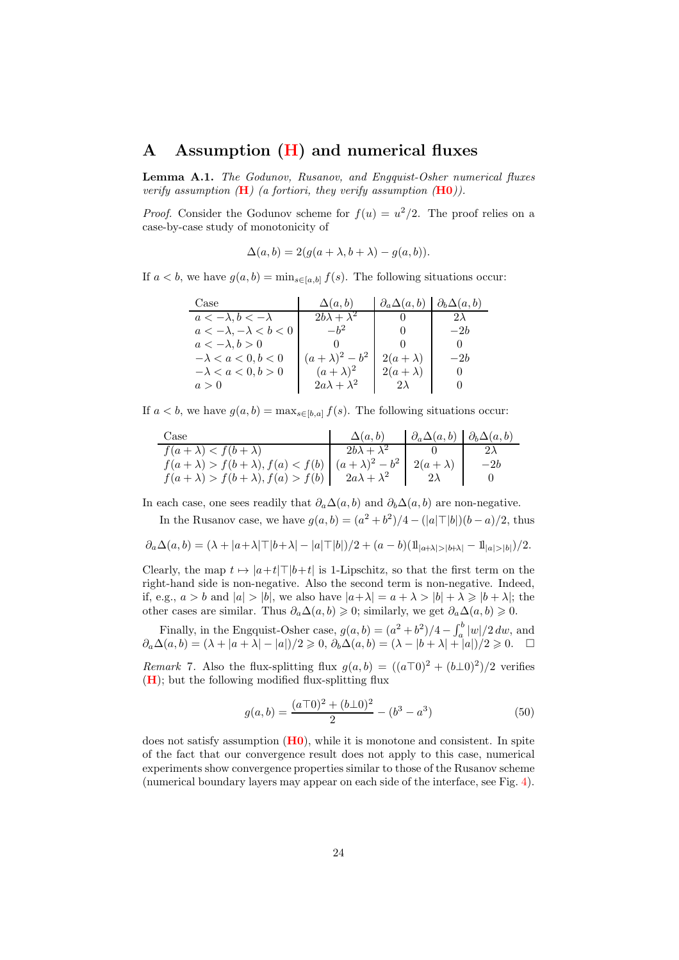### <span id="page-23-0"></span>A Assumption [\(H\)](#page-15-0) and numerical fluxes

Lemma A.1. The Godunov, Rusanov, and Engquist-Osher numerical fluxes verify assumption  $(H)$  $(H)$  $(H)$  (a fortiori, they verify assumption  $(H0)$  $(H0)$  $(H0)$ ).

*Proof.* Consider the Godunov scheme for  $f(u) = u^2/2$ . The proof relies on a case-by-case study of monotonicity of

$$
\Delta(a,b) = 2(g(a+\lambda, b+\lambda) - g(a,b)).
$$

If  $a < b$ , we have  $g(a, b) = \min_{s \in [a, b]} f(s)$ . The following situations occur:

| Case                             | $\Delta(a,b)$           | $\partial_a \Delta(a,b)$ | $\partial_b \Delta(a,b)$ |
|----------------------------------|-------------------------|--------------------------|--------------------------|
| $a < -\lambda, b < -\lambda$     | $2b\lambda + \lambda^2$ |                          | $2\lambda$               |
| $a < -\lambda, -\lambda < b < 0$ | $-b^2$                  |                          | $-2h$                    |
| $a < -\lambda, b > 0$            |                         |                          |                          |
| $-\lambda < a < 0, b < 0$        | $(a + \lambda)^2 - b^2$ | $2(a+\lambda)$           | $-2b$                    |
| $-\lambda < a < 0, b > 0$        | $(a + \lambda)^2$       | $2(a+\lambda)$           | $\cup$                   |
| a>0                              | $2a\lambda + \lambda^2$ | $2\lambda$               |                          |

If  $a < b$ , we have  $g(a, b) = \max_{s \in [b, a]} f(s)$ . The following situations occur:

| Case                                                                                      | $\Delta(a,b)$           | $\mid \partial_a \Delta(a,b) \mid \partial_b \Delta(a,b)$ |       |
|-------------------------------------------------------------------------------------------|-------------------------|-----------------------------------------------------------|-------|
| $f(a+\lambda) < f(b+\lambda)$                                                             | $2b\lambda + \lambda^2$ |                                                           |       |
| $f(a + \lambda) > f(b + \lambda), f(a) < f(b)   (a + \lambda)^2 - b^2   2(a + \lambda)  $ |                         |                                                           | $-2b$ |
| $f(a + \lambda) > f(b + \lambda), f(a) > f(b)$                                            | $2a\lambda + \lambda^2$ |                                                           |       |

In each case, one sees readily that  $\partial_a \Delta(a, b)$  and  $\partial_b \Delta(a, b)$  are non-negative.

In the Rusanov case, we have  $g(a, b) = (a^2 + b^2)/4 - (|a| \top |b|)(b - a)/2$ , thus

$$
\partial_a \Delta(a,b) = (\lambda + |a+\lambda| \top |b+\lambda| - |a| \top |b|)/2 + (a-b)(11_{|a+\lambda|>|b+\lambda|} - 11_{|a|>|b|})/2.
$$

Clearly, the map  $t \mapsto |a+t| \top |b+t|$  is 1-Lipschitz, so that the first term on the right-hand side is non-negative. Also the second term is non-negative. Indeed, if, e.g.,  $a > b$  and  $|a| > |b|$ , we also have  $|a+\lambda| = a + \lambda > |b| + \lambda \geq |b+\lambda|$ ; the other cases are similar. Thus  $\partial_a \Delta(a, b) \geq 0$ ; similarly, we get  $\partial_a \Delta(a, b) \geq 0$ .

Finally, in the Engquist-Osher case,  $g(a, b) = (a^2 + b^2)/4 - \int_a^b |w|/2 dw$ , and  $\partial_a\Delta(a,b)=(\lambda+|a+\lambda|-|a|)/2\geqslant 0, \, \partial_b\Delta(a,b)=(\lambda-|b+\lambda|+|a|)/2\geqslant 0. \quad \Box$ 

*Remark* 7. Also the flux-splitting flux  $g(a, b) = ((a\top 0)^2 + (b\bot 0)^2)/2$  verifies  $(H)$  $(H)$  $(H)$ ; but the following modified flux-splitting flux

<span id="page-23-1"></span>
$$
g(a,b) = \frac{(a\sqrt{a})^2 + (b\sqrt{a})^2}{2} - (b^3 - a^3)
$$
 (50)

does not satisfy assumption  $(H_0)$ , while it is monotone and consistent. In spite of the fact that our convergence result does not apply to this case, numerical experiments show convergence properties similar to those of the Rusanov scheme (numerical boundary layers may appear on each side of the interface, see Fig. [4\)](#page-24-1).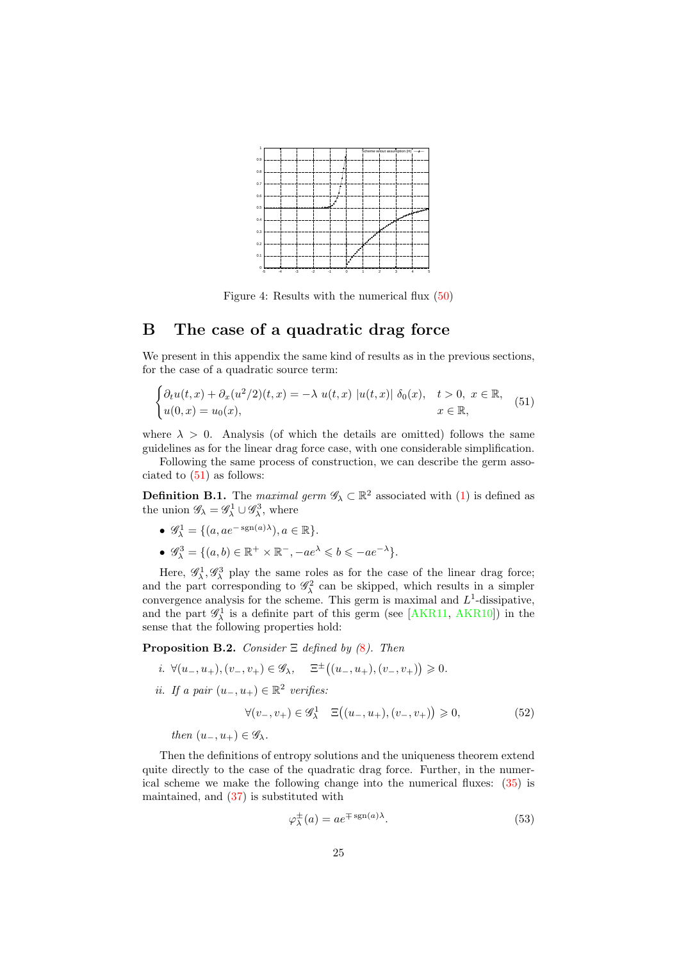

<span id="page-24-1"></span>Figure 4: Results with the numerical flux [\(50\)](#page-23-1)

# <span id="page-24-0"></span>B The case of a quadratic drag force

We present in this appendix the same kind of results as in the previous sections, for the case of a quadratic source term:

<span id="page-24-2"></span>
$$
\begin{cases} \partial_t u(t,x) + \partial_x (u^2/2)(t,x) = -\lambda u(t,x) \ |u(t,x)| \ \delta_0(x), \quad t > 0, \ x \in \mathbb{R}, \\ u(0,x) = u_0(x), \qquad \qquad x \in \mathbb{R}, \end{cases} \tag{51}
$$

where  $\lambda > 0$ . Analysis (of which the details are omitted) follows the same guidelines as for the linear drag force case, with one considerable simplification. Following the same process of construction, we can describe the germ asso-

ciated to [\(51\)](#page-24-2) as follows:

**Definition B.1.** The maximal germ  $\mathscr{G}_{\lambda} \subset \mathbb{R}^2$  associated with [\(1\)](#page-0-0) is defined as the union  $\mathscr{G}_{\lambda} = \mathscr{G}_{\lambda}^1 \cup \mathscr{G}_{\lambda}^3$ , where

- $\mathscr{G}_{\lambda}^1 = \{(a, ae^{-\operatorname{sgn}(a)\lambda}), a \in \mathbb{R}\}.$
- $\mathscr{G}_{\lambda}^3 = \{(a, b) \in \mathbb{R}^+ \times \mathbb{R}^-, -ae^{\lambda} \leqslant b \leqslant -ae^{-\lambda}\}.$

Here,  $\mathscr{G}^1_\lambda, \mathscr{G}^3_\lambda$  play the same roles as for the case of the linear drag force; and the part corresponding to  $\mathscr{G}_{\lambda}^2$  can be skipped, which results in a simpler convergence analysis for the scheme. This germ is maximal and  $L^1$ -dissipative, and the part  $\mathscr{G}_{\lambda}^{1}$  is a definite part of this germ (see [\[AKR11,](#page-26-0) [AKR10\]](#page-26-3)) in the sense that the following properties hold:

<span id="page-24-3"></span>**Proposition B.2.** Consider  $\Xi$  defined by ([8](#page-5-1)). Then

- i.  $\forall (u_-, u_+), (v_-, v_+) \in \mathscr{G}_\lambda, \quad \Xi^{\pm}((u_-, u_+), (v_-, v_+)) \geq 0.$
- ii. If a pair  $(u_-, u_+) \in \mathbb{R}^2$  verifies:

$$
\forall (v_-, v_+) \in \mathscr{G}^1_\lambda \quad \Xi\big((u_-, u_+), (v_-, v_+)\big) \geqslant 0,\tag{52}
$$

then  $(u_-, u_+) \in \mathscr{G}_\lambda$ .

Then the definitions of entropy solutions and the uniqueness theorem extend quite directly to the case of the quadratic drag force. Further, in the numerical scheme we make the following change into the numerical fluxes: [\(35\)](#page-13-1) is maintained, and [\(37\)](#page-13-2) is substituted with

$$
\varphi_{\lambda}^{\pm}(a) = a e^{\mp \operatorname{sgn}(a)\lambda}.
$$
\n(53)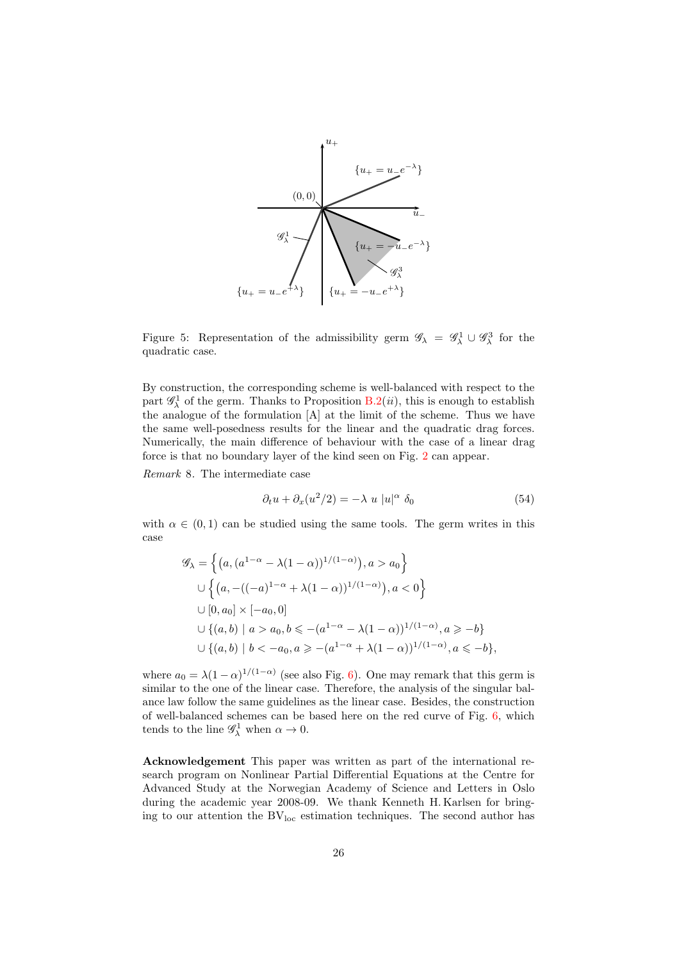

Figure 5: Representation of the admissibility germ  $\mathscr{G}_\lambda = \mathscr{G}_\lambda^1 \cup \mathscr{G}_\lambda^3$  for the quadratic case.

By construction, the corresponding scheme is well-balanced with respect to the part  $\mathscr{G}_{\lambda}^1$  of the germ. Thanks to Proposition [B.2\(](#page-24-3)*ii*), this is enough to establish the analogue of the formulation [A] at the limit of the scheme. Thus we have the same well-posedness results for the linear and the quadratic drag forces. Numerically, the main difference of behaviour with the case of a linear drag force is that no boundary layer of the kind seen on Fig. [2](#page-21-0) can appear.

Remark 8. The intermediate case

$$
\partial_t u + \partial_x (u^2/2) = -\lambda u \, |u|^\alpha \, \delta_0 \tag{54}
$$

with  $\alpha \in (0,1)$  can be studied using the same tools. The germ writes in this case

$$
\mathcal{G}_{\lambda} = \left\{ \left( a, (a^{1-\alpha} - \lambda(1-\alpha))^{1/(1-\alpha)} \right), a > a_0 \right\}
$$
  

$$
\cup \left\{ \left( a, -((-a)^{1-\alpha} + \lambda(1-\alpha))^{1/(1-\alpha)} \right), a < 0 \right\}
$$
  

$$
\cup [0, a_0] \times [-a_0, 0]
$$
  

$$
\cup \left\{ (a, b) \mid a > a_0, b \le -(a^{1-\alpha} - \lambda(1-\alpha))^{1/(1-\alpha)}, a \ge -b \right\}
$$
  

$$
\cup \left\{ (a, b) \mid b < -a_0, a \ge -(a^{1-\alpha} + \lambda(1-\alpha))^{1/(1-\alpha)}, a \le -b \right\},\right.
$$

where  $a_0 = \lambda (1 - \alpha)^{1/(1 - \alpha)}$  (see also Fig. [6\)](#page-26-8). One may remark that this germ is similar to the one of the linear case. Therefore, the analysis of the singular balance law follow the same guidelines as the linear case. Besides, the construction of well-balanced schemes can be based here on the red curve of Fig. [6,](#page-26-8) which tends to the line  $\mathscr{G}^1_\lambda$  when  $\alpha \to 0$ .

Acknowledgement This paper was written as part of the international research program on Nonlinear Partial Differential Equations at the Centre for Advanced Study at the Norwegian Academy of Science and Letters in Oslo during the academic year 2008-09. We thank Kenneth H. Karlsen for bringing to our attention the  $BV<sub>loc</sub>$  estimation techniques. The second author has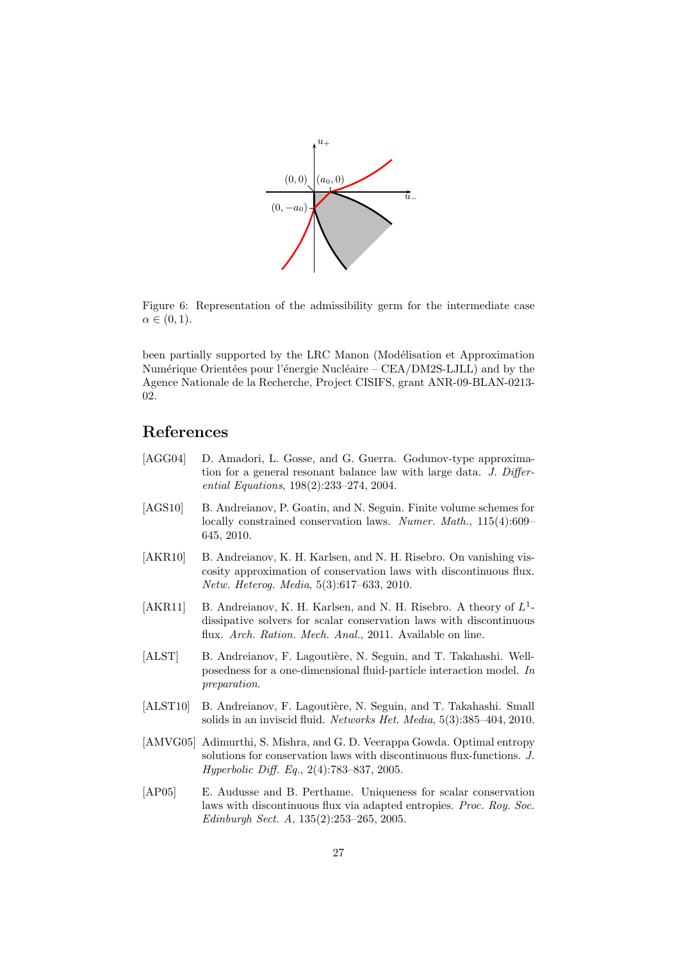

<span id="page-26-8"></span>Figure 6: Representation of the admissibility germ for the intermediate case  $\alpha \in (0,1)$ .

been partially supported by the LRC Manon (Modélisation et Approximation Numérique Orientées pour l'énergie Nucléaire – CEA/DM2S-LJLL) and by the Agence Nationale de la Recherche, Project CISIFS, grant ANR-09-BLAN-0213- 02.

# References

- <span id="page-26-4"></span>[AGG04] D. Amadori, L. Gosse, and G. Guerra. Godunov-type approximation for a general resonant balance law with large data. J. Differential Equations, 198(2):233–274, 2004.
- <span id="page-26-6"></span>[AGS10] B. Andreianov, P. Goatin, and N. Seguin. Finite volume schemes for locally constrained conservation laws. Numer. Math., 115(4):609-645, 2010.
- <span id="page-26-3"></span>[AKR10] B. Andreianov, K. H. Karlsen, and N. H. Risebro. On vanishing viscosity approximation of conservation laws with discontinuous flux. Netw. Heterog. Media, 5(3):617–633, 2010.
- <span id="page-26-0"></span>[AKR11] B. Andreianov, K. H. Karlsen, and N. H. Risebro. A theory of  $L^1$ dissipative solvers for scalar conservation laws with discontinuous flux. Arch. Ration. Mech. Anal., 2011. Available on line.
- <span id="page-26-2"></span>[ALST] B. Andreianov, F. Lagoutière, N. Seguin, and T. Takahashi. Wellposedness for a one-dimensional fluid-particle interaction model. In preparation.
- <span id="page-26-1"></span>[ALST10] B. Andreianov, F. Lagoutière, N. Seguin, and T. Takahashi. Small solids in an inviscid fluid. Networks Het. Media, 5(3):385–404, 2010.
- <span id="page-26-7"></span>[AMVG05] Adimurthi, S. Mishra, and G. D. Veerappa Gowda. Optimal entropy solutions for conservation laws with discontinuous flux-functions. J. Hyperbolic Diff. Eq., 2(4):783–837, 2005.
- <span id="page-26-5"></span>[AP05] E. Audusse and B. Perthame. Uniqueness for scalar conservation laws with discontinuous flux via adapted entropies. Proc. Roy. Soc. Edinburgh Sect. A, 135(2):253–265, 2005.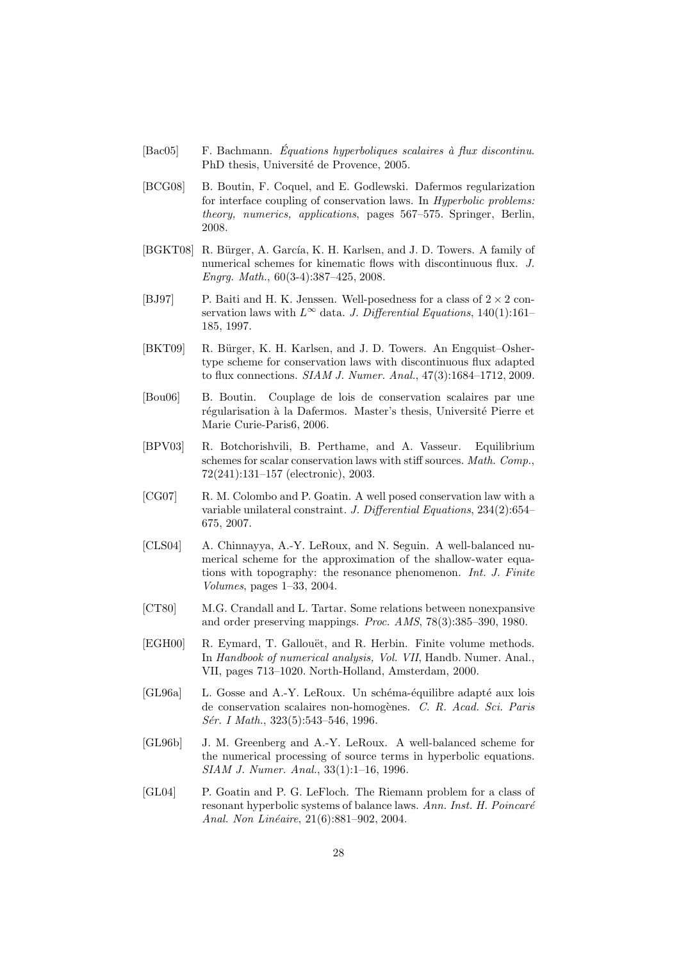- <span id="page-27-2"></span> $[Bac05]$  F. Bachmann. *Équations hyperboliques scalaires à flux discontinu*. PhD thesis, Université de Provence, 2005.
- <span id="page-27-9"></span>[BCG08] B. Boutin, F. Coquel, and E. Godlewski. Dafermos regularization for interface coupling of conservation laws. In Hyperbolic problems: theory, numerics, applications, pages 567–575. Springer, Berlin, 2008.
- <span id="page-27-4"></span>[BGKT08] R. Bürger, A. García, K. H. Karlsen, and J. D. Towers. A family of numerical schemes for kinematic flows with discontinuous flux. J. Engrg. Math., 60(3-4):387–425, 2008.
- <span id="page-27-7"></span>[BJ97] P. Baiti and H. K. Jenssen. Well-posedness for a class of  $2 \times 2$  conservation laws with  $L^{\infty}$  data. J. Differential Equations, 140(1):161– 185, 1997.
- <span id="page-27-5"></span>[BKT09] R. Bürger, K. H. Karlsen, and J. D. Towers. An Engquist–Oshertype scheme for conservation laws with discontinuous flux adapted to flux connections. SIAM J. Numer. Anal., 47(3):1684–1712, 2009.
- <span id="page-27-10"></span>[Bou06] B. Boutin. Couplage de lois de conservation scalaires par une régularisation à la Dafermos. Master's thesis, Université Pierre et Marie Curie-Paris6, 2006.
- <span id="page-27-6"></span>[BPV03] R. Botchorishvili, B. Perthame, and A. Vasseur. Equilibrium schemes for scalar conservation laws with stiff sources. *Math. Comp.*, 72(241):131–157 (electronic), 2003.
- <span id="page-27-12"></span>[CG07] R. M. Colombo and P. Goatin. A well posed conservation law with a variable unilateral constraint. J. Differential Equations, 234(2):654– 675, 2007.
- <span id="page-27-1"></span>[CLS04] A. Chinnayya, A.-Y. LeRoux, and N. Seguin. A well-balanced numerical scheme for the approximation of the shallow-water equations with topography: the resonance phenomenon. Int. J. Finite Volumes, pages 1–33, 2004.
- <span id="page-27-13"></span>[CT80] M.G. Crandall and L. Tartar. Some relations between nonexpansive and order preserving mappings. Proc. AMS, 78(3):385–390, 1980.
- <span id="page-27-3"></span>[EGH00] R. Eymard, T. Gallouët, and R. Herbin. Finite volume methods. In Handbook of numerical analysis, Vol. VII, Handb. Numer. Anal., VII, pages 713–1020. North-Holland, Amsterdam, 2000.
- <span id="page-27-11"></span> $[GL96a]$  L. Gosse and A.-Y. LeRoux. Un schéma-équilibre adapté aux lois de conservation scalaires non-homogènes. C. R. Acad. Sci. Paris Sér. I Math., 323(5):543–546, 1996.
- <span id="page-27-0"></span>[GL96b] J. M. Greenberg and A.-Y. LeRoux. A well-balanced scheme for the numerical processing of source terms in hyperbolic equations. SIAM J. Numer. Anal., 33(1):1–16, 1996.
- <span id="page-27-8"></span>[GL04] P. Goatin and P. G. LeFloch. The Riemann problem for a class of resonant hyperbolic systems of balance laws. Ann. Inst. H. Poincaré Anal. Non Linéaire, 21(6):881-902, 2004.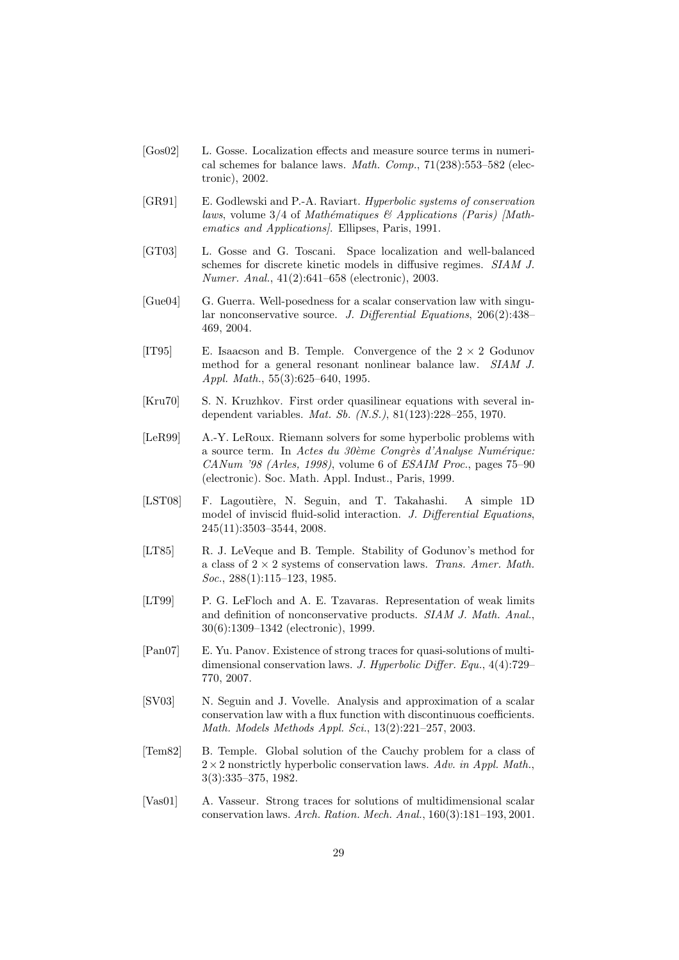- <span id="page-28-4"></span>[Gos02] L. Gosse. Localization effects and measure source terms in numerical schemes for balance laws. Math. Comp., 71(238):553–582 (electronic), 2002.
- <span id="page-28-13"></span>[GR91] E. Godlewski and P.-A. Raviart. Hyperbolic systems of conservation laws, volume  $3/4$  of Mathématiques & Applications (Paris) [Mathematics and Applications]. Ellipses, Paris, 1991.
- <span id="page-28-5"></span>[GT03] L. Gosse and G. Toscani. Space localization and well-balanced schemes for discrete kinetic models in diffusive regimes. SIAM J. Numer. Anal., 41(2):641–658 (electronic), 2003.
- <span id="page-28-8"></span>[Gue04] G. Guerra. Well-posedness for a scalar conservation law with singular nonconservative source. J. Differential Equations, 206(2):438– 469, 2004.
- <span id="page-28-7"></span>[IT95] E. Isaacson and B. Temple. Convergence of the  $2 \times 2$  Godunov method for a general resonant nonlinear balance law. SIAM J. Appl. Math., 55(3):625–640, 1995.
- <span id="page-28-12"></span>[Kru70] S. N. Kruzhkov. First order quasilinear equations with several independent variables. Mat. Sb. (N.S.), 81(123):228–255, 1970.
- <span id="page-28-1"></span>[LeR99] A.-Y. LeRoux. Riemann solvers for some hyperbolic problems with a source term. In Actes du  $30\text{ème}$  Congrès d'Analyse Numérique: CANum '98 (Arles, 1998), volume 6 of ESAIM Proc., pages 75–90 (electronic). Soc. Math. Appl. Indust., Paris, 1999.
- <span id="page-28-0"></span>[LST08] F. Lagoutière, N. Seguin, and T. Takahashi. A simple 1D model of inviscid fluid-solid interaction. J. Differential Equations, 245(11):3503–3544, 2008.
- <span id="page-28-10"></span>[LT85] R. J. LeVeque and B. Temple. Stability of Godunov's method for a class of  $2 \times 2$  systems of conservation laws. Trans. Amer. Math. Soc., 288(1):115-123, 1985.
- <span id="page-28-3"></span>[LT99] P. G. LeFloch and A. E. Tzavaras. Representation of weak limits and definition of nonconservative products. SIAM J. Math. Anal., 30(6):1309–1342 (electronic), 1999.
- <span id="page-28-6"></span>[Pan07] E. Yu. Panov. Existence of strong traces for quasi-solutions of multidimensional conservation laws. J. Hyperbolic Differ. Equ., 4(4):729– 770, 2007.
- <span id="page-28-2"></span>[SV03] N. Seguin and J. Vovelle. Analysis and approximation of a scalar conservation law with a flux function with discontinuous coefficients. Math. Models Methods Appl. Sci., 13(2):221–257, 2003.
- <span id="page-28-9"></span>[Tem82] B. Temple. Global solution of the Cauchy problem for a class of  $2\times 2$  nonstrictly hyperbolic conservation laws. Adv. in Appl. Math., 3(3):335–375, 1982.
- <span id="page-28-11"></span>[Vas01] A. Vasseur. Strong traces for solutions of multidimensional scalar conservation laws. Arch. Ration. Mech. Anal., 160(3):181–193, 2001.